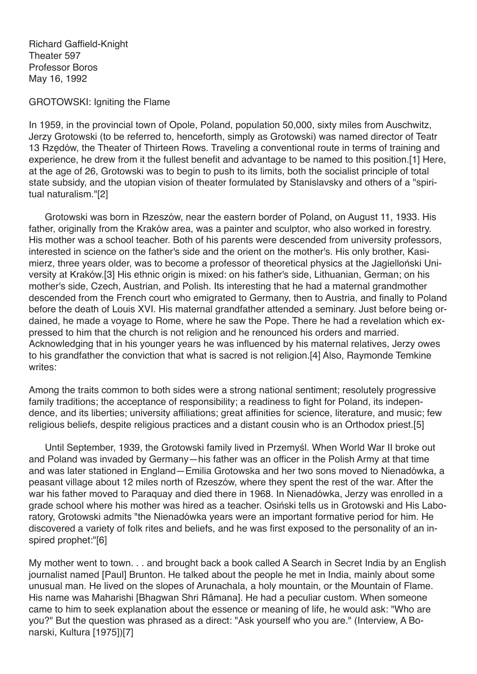Richard Gaffield-Knight Theater 597 Professor Boros May 16, 1992

GROTOWSKI: Igniting the Flame

In 1959, in the provincial town of Opole, Poland, population 50,000, sixty miles from Auschwitz, Jerzy Grotowski (to be referred to, henceforth, simply as Grotowski) was named director of Teatr 13 Rzędów, the Theater of Thirteen Rows. Traveling a conventional route in terms of training and experience, he drew from it the fullest benefit and advantage to be named to this position.[1] Here, at the age of 26, Grotowski was to begin to push to its limits, both the socialist principle of total state subsidy, and the utopian vision of theater formulated by Stanislavsky and others of a "spiritual naturalism."[2]

Grotowski was born in Rzeszów, near the eastern border of Poland, on August 11, 1933. His father, originally from the Kraków area, was a painter and sculptor, who also worked in forestry. His mother was a school teacher. Both of his parents were descended from university professors, interested in science on the father's side and the orient on the mother's. His only brother, Kasimierz, three years older, was to become a professor of theoretical physics at the Jagielloński University at Kraków.[3] His ethnic origin is mixed: on his father's side, Lithuanian, German; on his mother's side, Czech, Austrian, and Polish. Its interesting that he had a maternal grandmother descended from the French court who emigrated to Germany, then to Austria, and finally to Poland before the death of Louis XVI. His maternal grandfather attended a seminary. Just before being ordained, he made a voyage to Rome, where he saw the Pope. There he had a revelation which expressed to him that the church is not religion and he renounced his orders and married. Acknowledging that in his younger years he was influenced by his maternal relatives, Jerzy owes to his grandfather the conviction that what is sacred is not religion.[4] Also, Raymonde Temkine writes:

Among the traits common to both sides were a strong national sentiment; resolutely progressive family traditions; the acceptance of responsibility; a readiness to fight for Poland, its independence, and its liberties; university affiliations; great affinities for science, literature, and music; few religious beliefs, despite religious practices and a distant cousin who is an Orthodox priest.[5]

Until September, 1939, the Grotowski family lived in Przemyśl. When World War II broke out and Poland was invaded by Germany—his father was an officer in the Polish Army at that time and was later stationed in England—Emilia Grotowska and her two sons moved to Nienadówka, a peasant village about 12 miles north of Rzeszów, where they spent the rest of the war. After the war his father moved to Paraquay and died there in 1968. In Nienadówka, Jerzy was enrolled in a grade school where his mother was hired as a teacher. Osiński tells us in Grotowski and His Laboratory, Grotowski admits "the Nienadówka years were an important formative period for him. He discovered a variety of folk rites and beliefs, and he was first exposed to the personality of an inspired prophet:"[6]

My mother went to town. . . and brought back a book called A Search in Secret India by an English journalist named [Paul] Brunton. He talked about the people he met in India, mainly about some unusual man. He lived on the slopes of Arunachala, a holy mountain, or the Mountain of Flame. His name was Maharishi [Bhagwan Shri Râmana]. He had a peculiar custom. When someone came to him to seek explanation about the essence or meaning of life, he would ask: "Who are you?" But the question was phrased as a direct: "Ask yourself who you are." (Interview, A Bonarski, Kultura [1975])[7]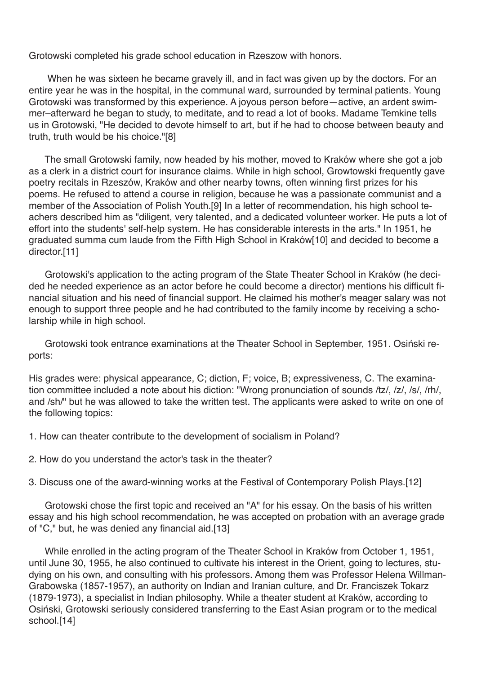Grotowski completed his grade school education in Rzeszow with honors.

When he was sixteen he became gravely ill, and in fact was given up by the doctors. For an entire year he was in the hospital, in the communal ward, surrounded by terminal patients. Young Grotowski was transformed by this experience. A joyous person before—active, an ardent swimmer–afterward he began to study, to meditate, and to read a lot of books. Madame Temkine tells us in Grotowski, "He decided to devote himself to art, but if he had to choose between beauty and truth, truth would be his choice."[8]

The small Grotowski family, now headed by his mother, moved to Kraków where she got a job as a clerk in a district court for insurance claims. While in high school, Growtowski frequently gave poetry recitals in Rzeszów, Kraków and other nearby towns, often winning first prizes for his poems. He refused to attend a course in religion, because he was a passionate communist and a member of the Association of Polish Youth.[9] In a letter of recommendation, his high school teachers described him as "diligent, very talented, and a dedicated volunteer worker. He puts a lot of effort into the students' self-help system. He has considerable interests in the arts." In 1951, he graduated summa cum laude from the Fifth High School in Kraków[10] and decided to become a director.[11]

Grotowski's application to the acting program of the State Theater School in Kraków (he decided he needed experience as an actor before he could become a director) mentions his difficult financial situation and his need of financial support. He claimed his mother's meager salary was not enough to support three people and he had contributed to the family income by receiving a scholarship while in high school.

Grotowski took entrance examinations at the Theater School in September, 1951. Osiński reports:

His grades were: physical appearance, C; diction, F; voice, B; expressiveness, C. The examination committee included a note about his diction: "Wrong pronunciation of sounds /tz/, /z/, /s/, /rh/, and /sh/" but he was allowed to take the written test. The applicants were asked to write on one of the following topics:

1. How can theater contribute to the development of socialism in Poland?

2. How do you understand the actor's task in the theater?

3. Discuss one of the award-winning works at the Festival of Contemporary Polish Plays.[12]

Grotowski chose the first topic and received an "A" for his essay. On the basis of his written essay and his high school recommendation, he was accepted on probation with an average grade of "C," but, he was denied any financial aid.[13]

While enrolled in the acting program of the Theater School in Kraków from October 1, 1951, until June 30, 1955, he also continued to cultivate his interest in the Orient, going to lectures, studying on his own, and consulting with his professors. Among them was Professor Helena Willman-Grabowska (1857-1957), an authority on Indian and Iranian culture, and Dr. Franciszek Tokarz (1879-1973), a specialist in Indian philosophy. While a theater student at Kraków, according to Osiński, Grotowski seriously considered transferring to the East Asian program or to the medical school.[14]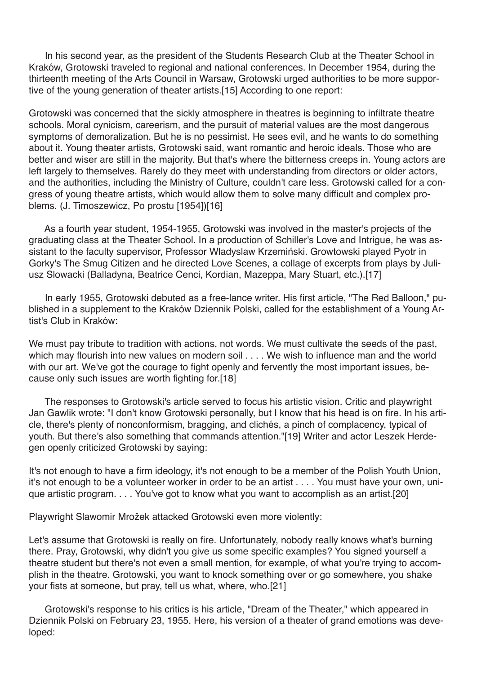In his second year, as the president of the Students Research Club at the Theater School in Kraków, Grotowski traveled to regional and national conferences. In December 1954, during the thirteenth meeting of the Arts Council in Warsaw, Grotowski urged authorities to be more supportive of the young generation of theater artists.[15] According to one report:

Grotowski was concerned that the sickly atmosphere in theatres is beginning to infiltrate theatre schools. Moral cynicism, careerism, and the pursuit of material values are the most dangerous symptoms of demoralization. But he is no pessimist. He sees evil, and he wants to do something about it. Young theater artists, Grotowski said, want romantic and heroic ideals. Those who are better and wiser are still in the majority. But that's where the bitterness creeps in. Young actors are left largely to themselves. Rarely do they meet with understanding from directors or older actors, and the authorities, including the Ministry of Culture, couldn't care less. Grotowski called for a congress of young theatre artists, which would allow them to solve many difficult and complex problems. (J. Timoszewicz, Po prostu [1954])[16]

As a fourth year student, 1954-1955, Grotowski was involved in the master's projects of the graduating class at the Theater School. In a production of Schiller's Love and Intrigue, he was assistant to the faculty supervisor, Professor Wladyslaw Krzemiński. Growtowski played Pyotr in Gorky's The Smug Citizen and he directed Love Scenes, a collage of excerpts from plays by Juliusz Slowacki (Balladyna, Beatrice Cenci, Kordian, Mazeppa, Mary Stuart, etc.).[17]

In early 1955, Grotowski debuted as a free-lance writer. His first article, "The Red Balloon," published in a supplement to the Kraków Dziennik Polski, called for the establishment of a Young Artist's Club in Kraków:

We must pay tribute to tradition with actions, not words. We must cultivate the seeds of the past, which may flourish into new values on modern soil . . . . We wish to influence man and the world with our art. We've got the courage to fight openly and fervently the most important issues, because only such issues are worth fighting for.[18]

The responses to Grotowski's article served to focus his artistic vision. Critic and playwright Jan Gawlik wrote: "I don't know Grotowski personally, but I know that his head is on fire. In his article, there's plenty of nonconformism, bragging, and clichés, a pinch of complacency, typical of youth. But there's also something that commands attention."[19] Writer and actor Leszek Herdegen openly criticized Grotowski by saying:

It's not enough to have a firm ideology, it's not enough to be a member of the Polish Youth Union, it's not enough to be a volunteer worker in order to be an artist . . . . You must have your own, unique artistic program. . . . You've got to know what you want to accomplish as an artist.[20]

Playwright Slawomir Mrožek attacked Grotowski even more violently:

Let's assume that Grotowski is really on fire. Unfortunately, nobody really knows what's burning there. Pray, Grotowski, why didn't you give us some specific examples? You signed yourself a theatre student but there's not even a small mention, for example, of what you're trying to accomplish in the theatre. Grotowski, you want to knock something over or go somewhere, you shake your fists at someone, but pray, tell us what, where, who.[21]

Grotowski's response to his critics is his article, "Dream of the Theater," which appeared in Dziennik Polski on February 23, 1955. Here, his version of a theater of grand emotions was developed: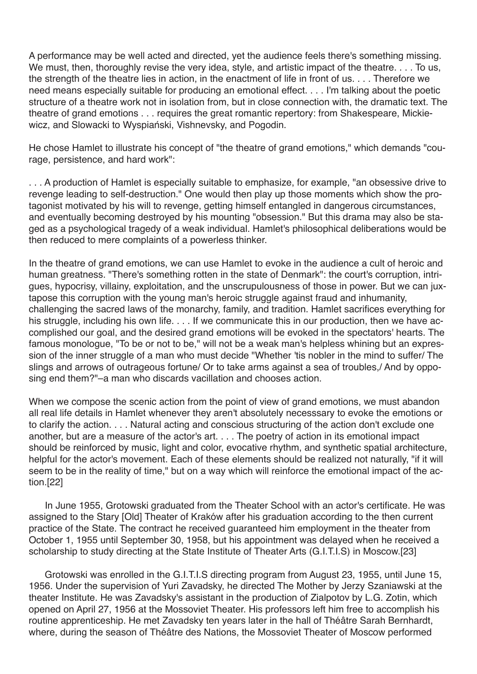A performance may be well acted and directed, yet the audience feels there's something missing. We must, then, thoroughly revise the very idea, style, and artistic impact of the theatre. . . . To us, the strength of the theatre lies in action, in the enactment of life in front of us. . . . Therefore we need means especially suitable for producing an emotional effect. . . . I'm talking about the poetic structure of a theatre work not in isolation from, but in close connection with, the dramatic text. The theatre of grand emotions . . . requires the great romantic repertory: from Shakespeare, Mickiewicz, and Slowacki to Wyspiański, Vishnevsky, and Pogodin.

He chose Hamlet to illustrate his concept of "the theatre of grand emotions," which demands "courage, persistence, and hard work":

. . . A production of Hamlet is especially suitable to emphasize, for example, "an obsessive drive to revenge leading to self-destruction." One would then play up those moments which show the protagonist motivated by his will to revenge, getting himself entangled in dangerous circumstances, and eventually becoming destroyed by his mounting "obsession." But this drama may also be staged as a psychological tragedy of a weak individual. Hamlet's philosophical deliberations would be then reduced to mere complaints of a powerless thinker.

In the theatre of grand emotions, we can use Hamlet to evoke in the audience a cult of heroic and human greatness. "There's something rotten in the state of Denmark": the court's corruption, intrigues, hypocrisy, villainy, exploitation, and the unscrupulousness of those in power. But we can juxtapose this corruption with the young man's heroic struggle against fraud and inhumanity, challenging the sacred laws of the monarchy, family, and tradition. Hamlet sacrifices everything for his struggle, including his own life. . . . If we communicate this in our production, then we have accomplished our goal, and the desired grand emotions will be evoked in the spectators' hearts. The famous monologue, "To be or not to be," will not be a weak man's helpless whining but an expression of the inner struggle of a man who must decide "Whether 'tis nobler in the mind to suffer/ The slings and arrows of outrageous fortune/ Or to take arms against a sea of troubles,/ And by opposing end them?"–a man who discards vacillation and chooses action.

When we compose the scenic action from the point of view of grand emotions, we must abandon all real life details in Hamlet whenever they aren't absolutely necesssary to evoke the emotions or to clarify the action. . . . Natural acting and conscious structuring of the action don't exclude one another, but are a measure of the actor's art. . . . The poetry of action in its emotional impact should be reinforced by music, light and color, evocative rhythm, and synthetic spatial architecture, helpful for the actor's movement. Each of these elements should be realized not naturally, "if it will seem to be in the reality of time," but on a way which will reinforce the emotional impact of the action.[22]

In June 1955, Grotowski graduated from the Theater School with an actor's certificate. He was assigned to the Stary [Old] Theater of Kraków after his graduation according to the then current practice of the State. The contract he received guaranteed him employment in the theater from October 1, 1955 until September 30, 1958, but his appointment was delayed when he received a scholarship to study directing at the State Institute of Theater Arts (G.I.T.I.S) in Moscow.[23]

Grotowski was enrolled in the G.I.T.I.S directing program from August 23, 1955, until June 15, 1956. Under the supervision of Yuri Zavadsky, he directed The Mother by Jerzy Szaniawski at the theater Institute. He was Zavadsky's assistant in the production of Zialpotov by L.G. Zotin, which opened on April 27, 1956 at the Mossoviet Theater. His professors left him free to accomplish his routine apprenticeship. He met Zavadsky ten years later in the hall of Théâtre Sarah Bernhardt, where, during the season of Théâtre des Nations, the Mossoviet Theater of Moscow performed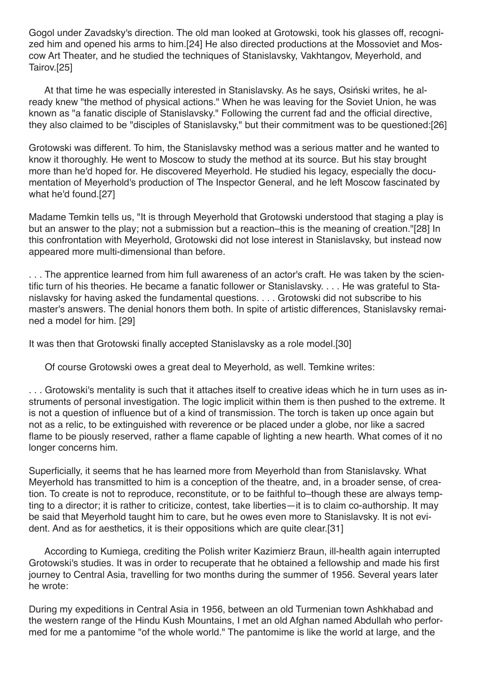Gogol under Zavadsky's direction. The old man looked at Grotowski, took his glasses off, recognized him and opened his arms to him.[24] He also directed productions at the Mossoviet and Moscow Art Theater, and he studied the techniques of Stanislavsky, Vakhtangov, Meyerhold, and Tairov.[25]

At that time he was especially interested in Stanislavsky. As he says, Osiński writes, he already knew "the method of physical actions." When he was leaving for the Soviet Union, he was known as "a fanatic disciple of Stanislavsky." Following the current fad and the official directive, they also claimed to be "disciples of Stanislavsky," but their commitment was to be questioned:[26]

Grotowski was different. To him, the Stanislavsky method was a serious matter and he wanted to know it thoroughly. He went to Moscow to study the method at its source. But his stay brought more than he'd hoped for. He discovered Meyerhold. He studied his legacy, especially the documentation of Meyerhold's production of The Inspector General, and he left Moscow fascinated by what he'd found.[27]

Madame Temkin tells us, "It is through Meyerhold that Grotowski understood that staging a play is but an answer to the play; not a submission but a reaction–this is the meaning of creation."[28] In this confrontation with Meyerhold, Grotowski did not lose interest in Stanislavsky, but instead now appeared more multi-dimensional than before.

. . . The apprentice learned from him full awareness of an actor's craft. He was taken by the scientific turn of his theories. He became a fanatic follower or Stanislavsky. . . . He was grateful to Stanislavsky for having asked the fundamental questions. . . . Grotowski did not subscribe to his master's answers. The denial honors them both. In spite of artistic differences, Stanislavsky remained a model for him. [29]

It was then that Grotowski finally accepted Stanislavsky as a role model.[30]

Of course Grotowski owes a great deal to Meyerhold, as well. Temkine writes:

. . . Grotowski's mentality is such that it attaches itself to creative ideas which he in turn uses as instruments of personal investigation. The logic implicit within them is then pushed to the extreme. It is not a question of influence but of a kind of transmission. The torch is taken up once again but not as a relic, to be extinguished with reverence or be placed under a globe, nor like a sacred flame to be piously reserved, rather a flame capable of lighting a new hearth. What comes of it no longer concerns him.

Superficially, it seems that he has learned more from Meyerhold than from Stanislavsky. What Meyerhold has transmitted to him is a conception of the theatre, and, in a broader sense, of creation. To create is not to reproduce, reconstitute, or to be faithful to–though these are always tempting to a director; it is rather to criticize, contest, take liberties—it is to claim co-authorship. It may be said that Meyerhold taught him to care, but he owes even more to Stanislavsky. It is not evident. And as for aesthetics, it is their oppositions which are quite clear.[31]

According to Kumiega, crediting the Polish writer Kazimierz Braun, ill-health again interrupted Grotowski's studies. It was in order to recuperate that he obtained a fellowship and made his first journey to Central Asia, travelling for two months during the summer of 1956. Several years later he wrote:

During my expeditions in Central Asia in 1956, between an old Turmenian town Ashkhabad and the western range of the Hindu Kush Mountains, I met an old Afghan named Abdullah who performed for me a pantomime "of the whole world." The pantomime is like the world at large, and the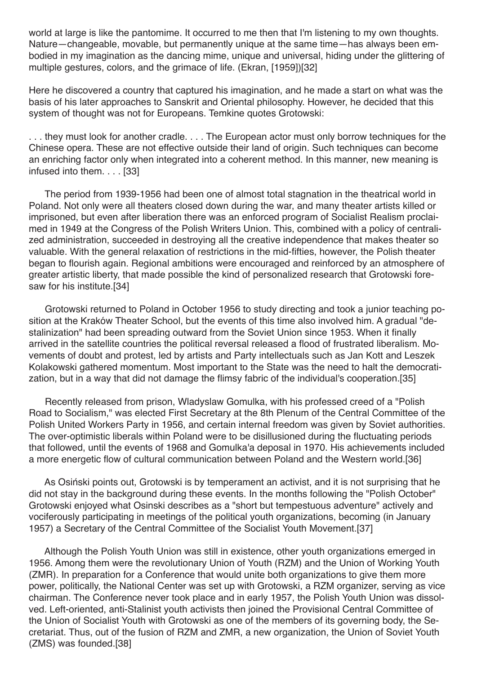world at large is like the pantomime. It occurred to me then that I'm listening to my own thoughts. Nature—changeable, movable, but permanently unique at the same time—has always been embodied in my imagination as the dancing mime, unique and universal, hiding under the glittering of multiple gestures, colors, and the grimace of life. (Ekran, [1959])[32]

Here he discovered a country that captured his imagination, and he made a start on what was the basis of his later approaches to Sanskrit and Oriental philosophy. However, he decided that this system of thought was not for Europeans. Temkine quotes Grotowski:

. . . they must look for another cradle. . . . The European actor must only borrow techniques for the Chinese opera. These are not effective outside their land of origin. Such techniques can become an enriching factor only when integrated into a coherent method. In this manner, new meaning is infused into them. . . . [33]

The period from 1939-1956 had been one of almost total stagnation in the theatrical world in Poland. Not only were all theaters closed down during the war, and many theater artists killed or imprisoned, but even after liberation there was an enforced program of Socialist Realism proclaimed in 1949 at the Congress of the Polish Writers Union. This, combined with a policy of centralized administration, succeeded in destroying all the creative independence that makes theater so valuable. With the general relaxation of restrictions in the mid-fifties, however, the Polish theater began to flourish again. Regional ambitions were encouraged and reinforced by an atmosphere of greater artistic liberty, that made possible the kind of personalized research that Grotowski foresaw for his institute.[34]

Grotowski returned to Poland in October 1956 to study directing and took a junior teaching position at the Kraków Theater School, but the events of this time also involved him. A gradual "destalinization" had been spreading outward from the Soviet Union since 1953. When it finally arrived in the satellite countries the political reversal released a flood of frustrated liberalism. Movements of doubt and protest, led by artists and Party intellectuals such as Jan Kott and Leszek Kolakowski gathered momentum. Most important to the State was the need to halt the democratization, but in a way that did not damage the flimsy fabric of the individual's cooperation.[35]

Recently released from prison, Wladyslaw Gomulka, with his professed creed of a "Polish Road to Socialism," was elected First Secretary at the 8th Plenum of the Central Committee of the Polish United Workers Party in 1956, and certain internal freedom was given by Soviet authorities. The over-optimistic liberals within Poland were to be disillusioned during the fluctuating periods that followed, until the events of 1968 and Gomulka'a deposal in 1970. His achievements included a more energetic flow of cultural communication between Poland and the Western world.[36]

As Osiński points out, Grotowski is by temperament an activist, and it is not surprising that he did not stay in the background during these events. In the months following the "Polish October" Grotowski enjoyed what Osinski describes as a "short but tempestuous adventure" actively and vociferously participating in meetings of the political youth organizations, becoming (in January 1957) a Secretary of the Central Committee of the Socialist Youth Movement.[37]

Although the Polish Youth Union was still in existence, other youth organizations emerged in 1956. Among them were the revolutionary Union of Youth (RZM) and the Union of Working Youth (ZMR). In preparation for a Conference that would unite both organizations to give them more power, politically, the National Center was set up with Grotowski, a RZM organizer, serving as vice chairman. The Conference never took place and in early 1957, the Polish Youth Union was dissolved. Left-oriented, anti-Stalinist youth activists then joined the Provisional Central Committee of the Union of Socialist Youth with Grotowski as one of the members of its governing body, the Secretariat. Thus, out of the fusion of RZM and ZMR, a new organization, the Union of Soviet Youth (ZMS) was founded.[38]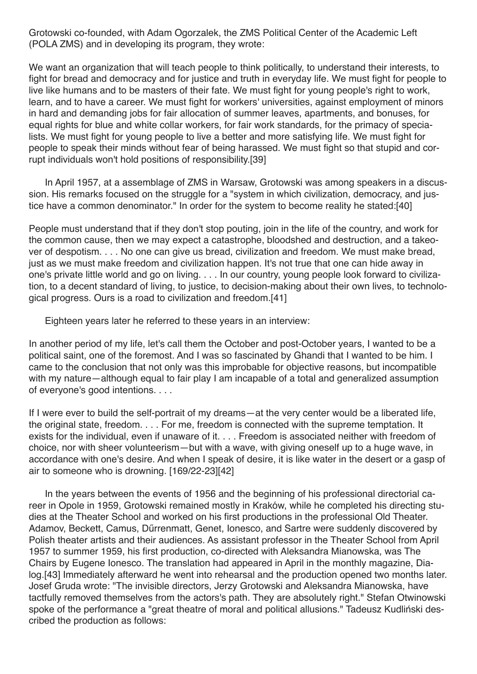Grotowski co-founded, with Adam Ogorzalek, the ZMS Political Center of the Academic Left (POLA ZMS) and in developing its program, they wrote:

We want an organization that will teach people to think politically, to understand their interests, to fight for bread and democracy and for justice and truth in everyday life. We must fight for people to live like humans and to be masters of their fate. We must fight for young people's right to work, learn, and to have a career. We must fight for workers' universities, against employment of minors in hard and demanding jobs for fair allocation of summer leaves, apartments, and bonuses, for equal rights for blue and white collar workers, for fair work standards, for the primacy of specialists. We must fight for young people to live a better and more satisfying life. We must fight for people to speak their minds without fear of being harassed. We must fight so that stupid and corrupt individuals won't hold positions of responsibility.[39]

In April 1957, at a assemblage of ZMS in Warsaw, Grotowski was among speakers in a discussion. His remarks focused on the struggle for a "system in which civilization, democracy, and justice have a common denominator." In order for the system to become reality he stated:[40]

People must understand that if they don't stop pouting, join in the life of the country, and work for the common cause, then we may expect a catastrophe, bloodshed and destruction, and a takeover of despotism. . . . No one can give us bread, civilization and freedom. We must make bread, just as we must make freedom and civilization happen. It's not true that one can hide away in one's private little world and go on living. . . . In our country, young people look forward to civilization, to a decent standard of living, to justice, to decision-making about their own lives, to technological progress. Ours is a road to civilization and freedom.[41]

Eighteen years later he referred to these years in an interview:

In another period of my life, let's call them the October and post-October years, I wanted to be a political saint, one of the foremost. And I was so fascinated by Ghandi that I wanted to be him. I came to the conclusion that not only was this improbable for objective reasons, but incompatible with my nature—although equal to fair play I am incapable of a total and generalized assumption of everyone's good intentions. . . .

If I were ever to build the self-portrait of my dreams—at the very center would be a liberated life, the original state, freedom. . . . For me, freedom is connected with the supreme temptation. It exists for the individual, even if unaware of it. . . . Freedom is associated neither with freedom of choice, nor with sheer volunteerism—but with a wave, with giving oneself up to a huge wave, in accordance with one's desire. And when I speak of desire, it is like water in the desert or a gasp of air to someone who is drowning. [169/22-23][42]

In the years between the events of 1956 and the beginning of his professional directorial career in Opole in 1959, Grotowski remained mostly in Kraków, while he completed his directing studies at the Theater School and worked on his first productions in the professional Old Theater. Adamov, Beckett, Camus, Dűrrenmatt, Genet, Ionesco, and Sartre were suddenly discovered by Polish theater artists and their audiences. As assistant professor in the Theater School from April 1957 to summer 1959, his first production, co-directed with Aleksandra Mianowska, was The Chairs by Eugene Ionesco. The translation had appeared in April in the monthly magazine, Dialog.[43] Immediately afterward he went into rehearsal and the production opened two months later. Josef Gruda wrote: "The invisible directors, Jerzy Grotowski and Aleksandra Mianowska, have tactfully removed themselves from the actors's path. They are absolutely right." Stefan Otwinowski spoke of the performance a "great theatre of moral and political allusions." Tadeusz Kudliński described the production as follows: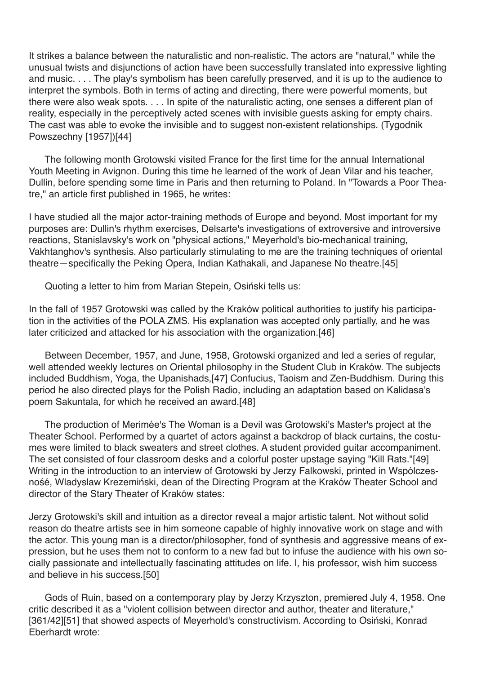It strikes a balance between the naturalistic and non-realistic. The actors are "natural," while the unusual twists and disjunctions of action have been successfully translated into expressive lighting and music. . . . The play's symbolism has been carefully preserved, and it is up to the audience to interpret the symbols. Both in terms of acting and directing, there were powerful moments, but there were also weak spots. . . . In spite of the naturalistic acting, one senses a different plan of reality, especially in the perceptively acted scenes with invisible guests asking for empty chairs. The cast was able to evoke the invisible and to suggest non-existent relationships. (Tygodnik Powszechny [1957])[44]

The following month Grotowski visited France for the first time for the annual International Youth Meeting in Avignon. During this time he learned of the work of Jean Vilar and his teacher, Dullin, before spending some time in Paris and then returning to Poland. In "Towards a Poor Theatre," an article first published in 1965, he writes:

I have studied all the major actor-training methods of Europe and beyond. Most important for my purposes are: Dullin's rhythm exercises, Delsarte's investigations of extroversive and introversive reactions, Stanislavsky's work on "physical actions," Meyerhold's bio-mechanical training, Vakhtanghov's synthesis. Also particularly stimulating to me are the training techniques of oriental theatre—specifically the Peking Opera, Indian Kathakali, and Japanese No theatre.[45]

Quoting a letter to him from Marian Stepein, Osiński tells us:

In the fall of 1957 Grotowski was called by the Kraków political authorities to justify his participation in the activities of the POLA ZMS. His explanation was accepted only partially, and he was later criticized and attacked for his association with the organization.[46]

Between December, 1957, and June, 1958, Grotowski organized and led a series of regular, well attended weekly lectures on Oriental philosophy in the Student Club in Kraków. The subjects included Buddhism, Yoga, the Upanishads,[47] Confucius, Taoism and Zen-Buddhism. During this period he also directed plays for the Polish Radio, including an adaptation based on Kalidasa's poem Sakuntala, for which he received an award.[48]

The production of Merimée's The Woman is a Devil was Grotowski's Master's project at the Theater School. Performed by a quartet of actors against a backdrop of black curtains, the costumes were limited to black sweaters and street clothes. A student provided guitar accompaniment. The set consisted of four classroom desks and a colorful poster upstage saying "Kill Rats."[49] Writing in the introduction to an interview of Grotowski by Jerzy Falkowski, printed in Wspólczesnośé, Wladyslaw Krezemiński, dean of the Directing Program at the Kraków Theater School and director of the Stary Theater of Kraków states:

Jerzy Grotowski's skill and intuition as a director reveal a major artistic talent. Not without solid reason do theatre artists see in him someone capable of highly innovative work on stage and with the actor. This young man is a director/philosopher, fond of synthesis and aggressive means of expression, but he uses them not to conform to a new fad but to infuse the audience with his own socially passionate and intellectually fascinating attitudes on life. I, his professor, wish him success and believe in his success.[50]

Gods of Ruin, based on a contemporary play by Jerzy Krzyszton, premiered July 4, 1958. One critic described it as a "violent collision between director and author, theater and literature," [361/42][51] that showed aspects of Meyerhold's constructivism. According to Osiński, Konrad Eberhardt wrote: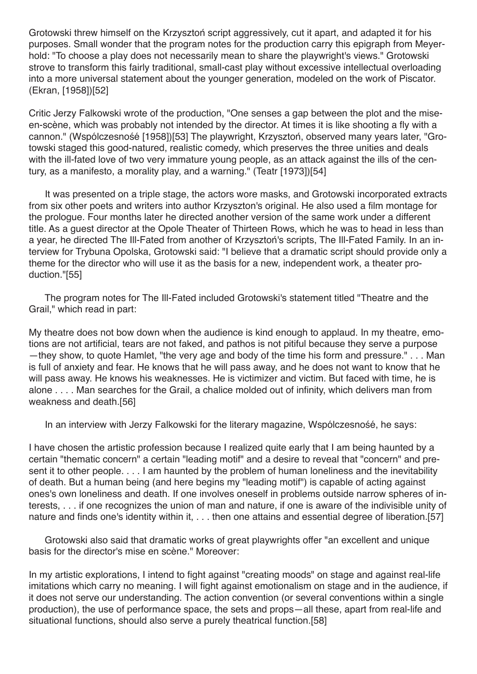Grotowski threw himself on the Krzysztoń script aggressively, cut it apart, and adapted it for his purposes. Small wonder that the program notes for the production carry this epigraph from Meyerhold: "To choose a play does not necessarily mean to share the playwright's views." Grotowski strove to transform this fairly traditional, small-cast play without excessive intellectual overloading into a more universal statement about the younger generation, modeled on the work of Piscator. (Ekran, [1958])[52]

Critic Jerzy Falkowski wrote of the production, "One senses a gap between the plot and the miseen-scène, which was probably not intended by the director. At times it is like shooting a fly with a cannon." (Wspólczesnośé [1958])[53] The playwright, Krzysztoń, observed many years later, "Grotowski staged this good-natured, realistic comedy, which preserves the three unities and deals with the ill-fated love of two very immature young people, as an attack against the ills of the century, as a manifesto, a morality play, and a warning." (Teatr [1973])[54]

It was presented on a triple stage, the actors wore masks, and Grotowski incorporated extracts from six other poets and writers into author Krzyszton's original. He also used a film montage for the prologue. Four months later he directed another version of the same work under a different title. As a guest director at the Opole Theater of Thirteen Rows, which he was to head in less than a year, he directed The Ill-Fated from another of Krzysztoń's scripts, The Ill-Fated Family. In an interview for Trybuna Opolska, Grotowski said: "I believe that a dramatic script should provide only a theme for the director who will use it as the basis for a new, independent work, a theater production."[55]

The program notes for The Ill-Fated included Grotowski's statement titled "Theatre and the Grail," which read in part:

My theatre does not bow down when the audience is kind enough to applaud. In my theatre, emotions are not artificial, tears are not faked, and pathos is not pitiful because they serve a purpose —they show, to quote Hamlet, "the very age and body of the time his form and pressure." . . . Man is full of anxiety and fear. He knows that he will pass away, and he does not want to know that he will pass away. He knows his weaknesses. He is victimizer and victim. But faced with time, he is alone . . . . Man searches for the Grail, a chalice molded out of infinity, which delivers man from weakness and death.[56]

In an interview with Jerzy Falkowski for the literary magazine, Wspólczesnośé, he says:

I have chosen the artistic profession because I realized quite early that I am being haunted by a certain "thematic concern" a certain "leading motif" and a desire to reveal that "concern" and present it to other people. . . . I am haunted by the problem of human loneliness and the inevitability of death. But a human being (and here begins my "leading motif") is capable of acting against ones's own loneliness and death. If one involves oneself in problems outside narrow spheres of interests, . . . if one recognizes the union of man and nature, if one is aware of the indivisible unity of nature and finds one's identity within it, . . . then one attains and essential degree of liberation.[57]

Grotowski also said that dramatic works of great playwrights offer "an excellent and unique basis for the director's mise en scène." Moreover:

In my artistic explorations, I intend to fight against "creating moods" on stage and against real-life imitations which carry no meaning. I will fight against emotionalism on stage and in the audience, if it does not serve our understanding. The action convention (or several conventions within a single production), the use of performance space, the sets and props—all these, apart from real-life and situational functions, should also serve a purely theatrical function.[58]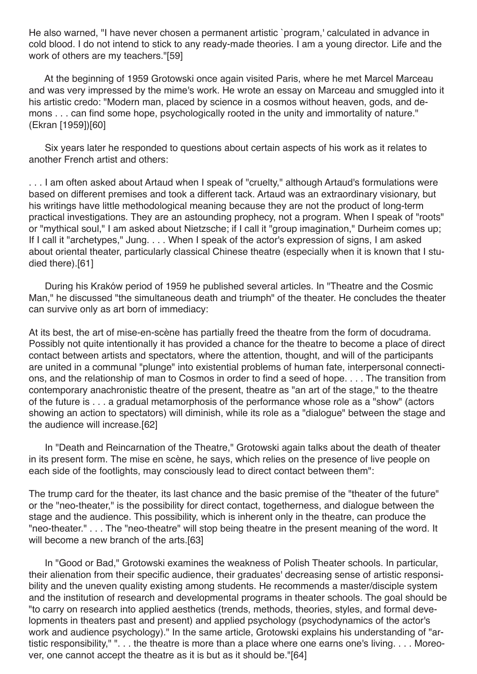He also warned, "I have never chosen a permanent artistic `program,' calculated in advance in cold blood. I do not intend to stick to any ready-made theories. I am a young director. Life and the work of others are my teachers."[59]

At the beginning of 1959 Grotowski once again visited Paris, where he met Marcel Marceau and was very impressed by the mime's work. He wrote an essay on Marceau and smuggled into it his artistic credo: "Modern man, placed by science in a cosmos without heaven, gods, and demons . . . can find some hope, psychologically rooted in the unity and immortality of nature." (Ekran [1959])[60]

Six years later he responded to questions about certain aspects of his work as it relates to another French artist and others:

... I am often asked about Artaud when I speak of "cruelty," although Artaud's formulations were based on different premises and took a different tack. Artaud was an extraordinary visionary, but his writings have little methodological meaning because they are not the product of long-term practical investigations. They are an astounding prophecy, not a program. When I speak of "roots" or "mythical soul," I am asked about Nietzsche; if I call it "group imagination," Durheim comes up; If I call it "archetypes," Jung. . . . When I speak of the actor's expression of signs, I am asked about oriental theater, particularly classical Chinese theatre (especially when it is known that I studied there).[61]

During his Kraków period of 1959 he published several articles. In "Theatre and the Cosmic Man," he discussed "the simultaneous death and triumph" of the theater. He concludes the theater can survive only as art born of immediacy:

At its best, the art of mise-en-scène has partially freed the theatre from the form of docudrama. Possibly not quite intentionally it has provided a chance for the theatre to become a place of direct contact between artists and spectators, where the attention, thought, and will of the participants are united in a communal "plunge" into existential problems of human fate, interpersonal connections, and the relationship of man to Cosmos in order to find a seed of hope. . . . The transition from contemporary anachronistic theatre of the present, theatre as "an art of the stage," to the theatre of the future is . . . a gradual metamorphosis of the performance whose role as a "show" (actors showing an action to spectators) will diminish, while its role as a "dialogue" between the stage and the audience will increase.[62]

In "Death and Reincarnation of the Theatre," Grotowski again talks about the death of theater in its present form. The mise en scène, he says, which relies on the presence of live people on each side of the footlights, may consciously lead to direct contact between them":

The trump card for the theater, its last chance and the basic premise of the "theater of the future" or the "neo-theater," is the possibility for direct contact, togetherness, and dialogue between the stage and the audience. This possibility, which is inherent only in the theatre, can produce the "neo-theater." . . . The "neo-theatre" will stop being theatre in the present meaning of the word. It will become a new branch of the arts.[63]

In "Good or Bad," Grotowski examines the weakness of Polish Theater schools. In particular, their alienation from their specific audience, their graduates' decreasing sense of artistic responsibility and the uneven quality existing among students. He recommends a master/disciple system and the institution of research and developmental programs in theater schools. The goal should be "to carry on research into applied aesthetics (trends, methods, theories, styles, and formal developments in theaters past and present) and applied psychology (psychodynamics of the actor's work and audience psychology)." In the same article, Grotowski explains his understanding of "artistic responsibility," ". . . the theatre is more than a place where one earns one's living. . . . Moreover, one cannot accept the theatre as it is but as it should be."[64]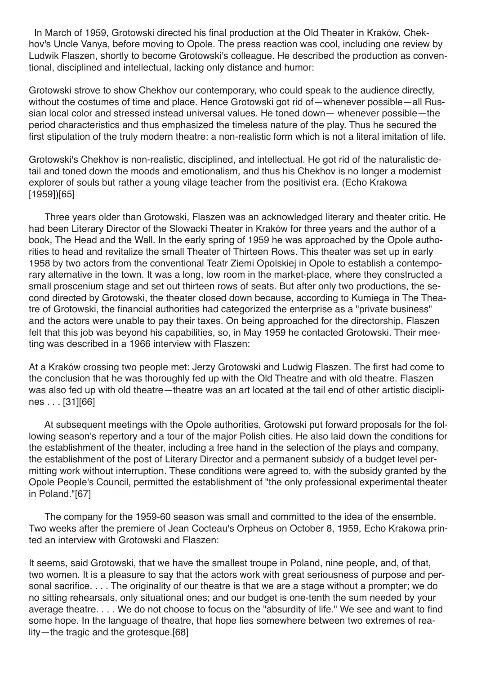In March of 1959, Grotowski directed his final production at the Old Theater in Kraków, Chekhov's Uncle Vanya, before moving to Opole. The press reaction was cool, including one review by Ludwik Flaszen, shortly to become Grotowski's colleague. He described the production as conventional, disciplined and intellectual, lacking only distance and humor:

Grotowski strove to show Chekhov our contemporary, who could speak to the audience directly, without the costumes of time and place. Hence Grotowski got rid of—whenever possible—all Russian local color and stressed instead universal values. He toned down— whenever possible—the period characteristics and thus emphasized the timeless nature of the play. Thus he secured the first stipulation of the truly modern theatre: a non-realistic form which is not a literal imitation of life.

Grotowski's Chekhov is non-realistic, disciplined, and intellectual. He got rid of the naturalistic detail and toned down the moods and emotionalism, and thus his Chekhov is no longer a modernist explorer of souls but rather a young vilage teacher from the positivist era. (Echo Krakowa [1959])[65]

Three years older than Grotowski, Flaszen was an acknowledged literary and theater critic. He had been Literary Director of the Slowacki Theater in Kraków for three years and the author of a book, The Head and the Wall. In the early spring of 1959 he was approached by the Opole authorities to head and revitalize the small Theater of Thirteen Rows. This theater was set up in early 1958 by two actors from the conventional Teatr Ziemi Opolskiej in Opole to establish a contemporary alternative in the town. It was a long, low room in the market-place, where they constructed a small proscenium stage and set out thirteen rows of seats. But after only two productions, the second directed by Grotowski, the theater closed down because, according to Kumiega in The Theatre of Grotowski, the financial authorities had categorized the enterprise as a "private business" and the actors were unable to pay their taxes. On being approached for the directorship, Flaszen felt that this job was beyond his capabilities, so, in May 1959 he contacted Grotowski. Their meeting was described in a 1966 interview with Flaszen:

At a Kraków crossing two people met: Jerzy Grotowski and Ludwig Flaszen. The first had come to the conclusion that he was thoroughly fed up with the Old Theatre and with old theatre. Flaszen was also fed up with old theatre—theatre was an art located at the tail end of other artistic disciplines . . . [31][66]

At subsequent meetings with the Opole authorities, Grotowski put forward proposals for the following season's repertory and a tour of the major Polish cities. He also laid down the conditions for the establishment of the theater, including a free hand in the selection of the plays and company, the establishment of the post of Literary Director and a permanent subsidy of a budget level permitting work without interruption. These conditions were agreed to, with the subsidy granted by the Opole People's Council, permitted the establishment of "the only professional experimental theater in Poland."[67]

The company for the 1959-60 season was small and committed to the idea of the ensemble. Two weeks after the premiere of Jean Cocteau's Orpheus on October 8, 1959, Echo Krakowa printed an interview with Grotowski and Flaszen:

It seems, said Grotowski, that we have the smallest troupe in Poland, nine people, and, of that, two women. It is a pleasure to say that the actors work with great seriousness of purpose and personal sacrifice. . . . The originality of our theatre is that we are a stage without a prompter; we do no sitting rehearsals, only situational ones; and our budget is one-tenth the sum needed by your average theatre. . . . We do not choose to focus on the "absurdity of life." We see and want to find some hope. In the language of theatre, that hope lies somewhere between two extremes of reality—the tragic and the grotesque.[68]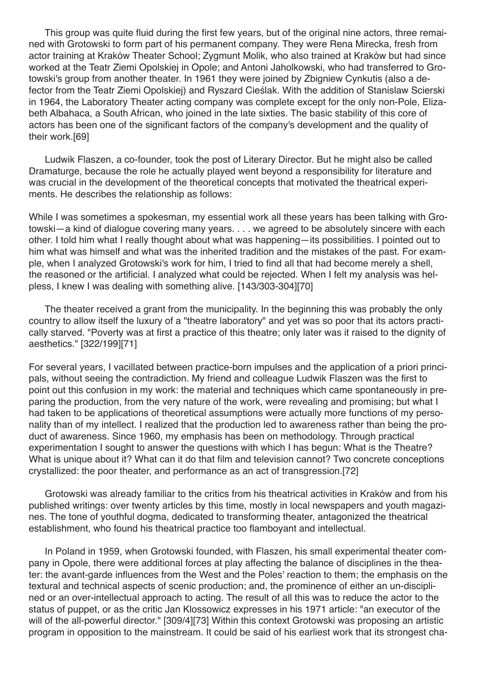This group was quite fluid during the first few years, but of the original nine actors, three remained with Grotowski to form part of his permanent company. They were Rena Mirecka, fresh from actor training at Kraków Theater School; Zygmunt Molik, who also trained at Kraków but had since worked at the Teatr Ziemi Opolskiej in Opole; and Antoni Jaholkowski, who had transferred to Grotowski's group from another theater. In 1961 they were joined by Zbigniew Cynkutis (also a defector from the Teatr Ziemi Opolskiej) and Ryszard Cieślak. With the addition of Stanislaw Scierski in 1964, the Laboratory Theater acting company was complete except for the only non-Pole, Elizabeth Albahaca, a South African, who joined in the late sixties. The basic stability of this core of actors has been one of the significant factors of the company's development and the quality of their work.[69]

Ludwik Flaszen, a co-founder, took the post of Literary Director. But he might also be called Dramaturge, because the role he actually played went beyond a responsibility for literature and was crucial in the development of the theoretical concepts that motivated the theatrical experiments. He describes the relationship as follows:

While I was sometimes a spokesman, my essential work all these years has been talking with Grotowski—a kind of dialogue covering many years. . . . we agreed to be absolutely sincere with each other. I told him what I really thought about what was happening—its possibilities. I pointed out to him what was himself and what was the inherited tradition and the mistakes of the past. For example, when I analyzed Grotowski's work for him, I tried to find all that had become merely a shell, the reasoned or the artificial. I analyzed what could be rejected. When I felt my analysis was helpless, I knew I was dealing with something alive. [143/303-304][70]

The theater received a grant from the municipality. In the beginning this was probably the only country to allow itself the luxury of a "theatre laboratory" and yet was so poor that its actors practically starved. "Poverty was at first a practice of this theatre; only later was it raised to the dignity of aesthetics." [322/199][71]

For several years, I vacillated between practice-born impulses and the application of a priori principals, without seeing the contradiction. My friend and colleague Ludwik Flaszen was the first to point out this confusion in my work: the material and techniques which came spontaneously in preparing the production, from the very nature of the work, were revealing and promising; but what I had taken to be applications of theoretical assumptions were actually more functions of my personality than of my intellect. I realized that the production led to awareness rather than being the product of awareness. Since 1960, my emphasis has been on methodology. Through practical experimentation I sought to answer the questions with which I has begun: What is the Theatre? What is unique about it? What can it do that film and television cannot? Two concrete conceptions crystallized: the poor theater, and performance as an act of transgression.[72]

Grotowski was already familiar to the critics from his theatrical activities in Kraków and from his published writings: over twenty articles by this time, mostly in local newspapers and youth magazines. The tone of youthful dogma, dedicated to transforming theater, antagonized the theatrical establishment, who found his theatrical practice too flamboyant and intellectual.

In Poland in 1959, when Grotowski founded, with Flaszen, his small experimental theater company in Opole, there were additional forces at play affecting the balance of disciplines in the theater: the avant-garde influences from the West and the Poles' reaction to them; the emphasis on the textural and technical aspects of scenic production; and, the prominence of either an un-disciplined or an over-intellectual approach to acting. The result of all this was to reduce the actor to the status of puppet, or as the critic Jan Klossowicz expresses in his 1971 article: "an executor of the will of the all-powerful director." [309/4][73] Within this context Grotowski was proposing an artistic program in opposition to the mainstream. It could be said of his earliest work that its strongest cha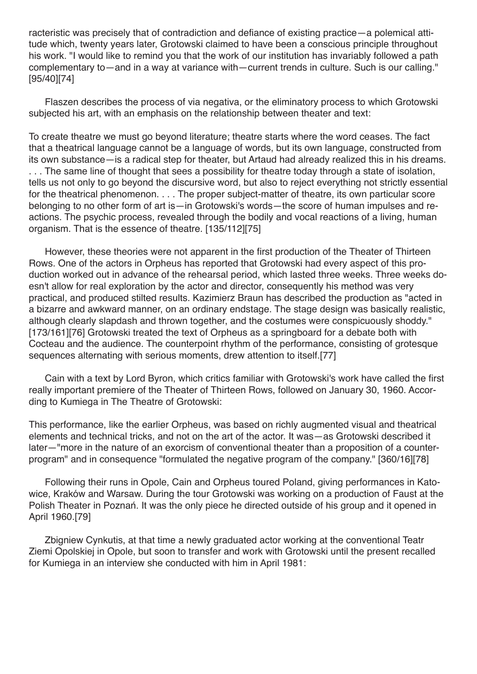racteristic was precisely that of contradiction and defiance of existing practice—a polemical attitude which, twenty years later, Grotowski claimed to have been a conscious principle throughout his work. "I would like to remind you that the work of our institution has invariably followed a path complementary to—and in a way at variance with—current trends in culture. Such is our calling." [95/40][74]

Flaszen describes the process of via negativa, or the eliminatory process to which Grotowski subjected his art, with an emphasis on the relationship between theater and text:

To create theatre we must go beyond literature; theatre starts where the word ceases. The fact that a theatrical language cannot be a language of words, but its own language, constructed from its own substance—is a radical step for theater, but Artaud had already realized this in his dreams. . . . The same line of thought that sees a possibility for theatre today through a state of isolation, tells us not only to go beyond the discursive word, but also to reject everything not strictly essential for the theatrical phenomenon. . . . The proper subject-matter of theatre, its own particular score belonging to no other form of art is—in Grotowski's words—the score of human impulses and reactions. The psychic process, revealed through the bodily and vocal reactions of a living, human organism. That is the essence of theatre. [135/112][75]

However, these theories were not apparent in the first production of the Theater of Thirteen Rows. One of the actors in Orpheus has reported that Grotowski had every aspect of this production worked out in advance of the rehearsal period, which lasted three weeks. Three weeks doesn't allow for real exploration by the actor and director, consequently his method was very practical, and produced stilted results. Kazimierz Braun has described the production as "acted in a bizarre and awkward manner, on an ordinary endstage. The stage design was basically realistic, although clearly slapdash and thrown together, and the costumes were conspicuously shoddy." [173/161][76] Grotowski treated the text of Orpheus as a springboard for a debate both with Cocteau and the audience. The counterpoint rhythm of the performance, consisting of grotesque sequences alternating with serious moments, drew attention to itself.[77]

Cain with a text by Lord Byron, which critics familiar with Grotowski's work have called the first really important premiere of the Theater of Thirteen Rows, followed on January 30, 1960. According to Kumiega in The Theatre of Grotowski:

This performance, like the earlier Orpheus, was based on richly augmented visual and theatrical elements and technical tricks, and not on the art of the actor. It was—as Grotowski described it later—"more in the nature of an exorcism of conventional theater than a proposition of a counterprogram" and in consequence "formulated the negative program of the company." [360/16][78]

Following their runs in Opole, Cain and Orpheus toured Poland, giving performances in Katowice, Kraków and Warsaw. During the tour Grotowski was working on a production of Faust at the Polish Theater in Poznań. It was the only piece he directed outside of his group and it opened in April 1960.[79]

Zbigniew Cynkutis, at that time a newly graduated actor working at the conventional Teatr Ziemi Opolskiej in Opole, but soon to transfer and work with Grotowski until the present recalled for Kumiega in an interview she conducted with him in April 1981: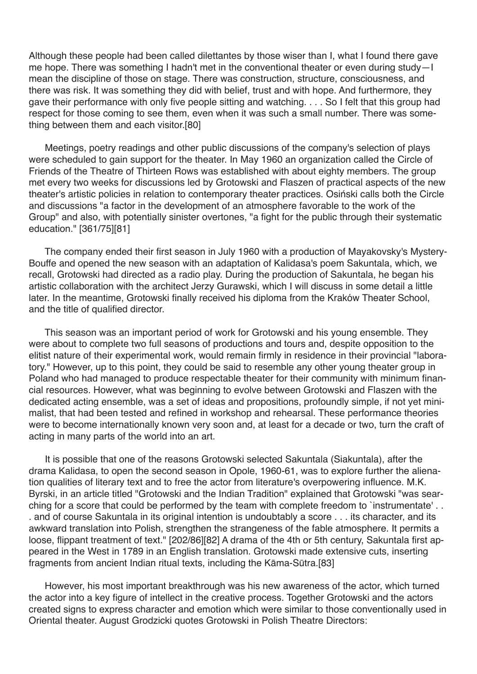Although these people had been called dilettantes by those wiser than I, what I found there gave me hope. There was something I hadn't met in the conventional theater or even during study—I mean the discipline of those on stage. There was construction, structure, consciousness, and there was risk. It was something they did with belief, trust and with hope. And furthermore, they gave their performance with only five people sitting and watching. . . . So I felt that this group had respect for those coming to see them, even when it was such a small number. There was something between them and each visitor.[80]

Meetings, poetry readings and other public discussions of the company's selection of plays were scheduled to gain support for the theater. In May 1960 an organization called the Circle of Friends of the Theatre of Thirteen Rows was established with about eighty members. The group met every two weeks for discussions led by Grotowski and Flaszen of practical aspects of the new theater's artistic policies in relation to contemporary theater practices. Osiński calls both the Circle and discussions "a factor in the development of an atmosphere favorable to the work of the Group" and also, with potentially sinister overtones, "a fight for the public through their systematic education." [361/75][81]

The company ended their first season in July 1960 with a production of Mayakovsky's Mystery-Bouffe and opened the new season with an adaptation of Kalidasa's poem Sakuntala, which, we recall, Grotowski had directed as a radio play. During the production of Sakuntala, he began his artistic collaboration with the architect Jerzy Gurawski, which I will discuss in some detail a little later. In the meantime, Grotowski finally received his diploma from the Kraków Theater School, and the title of qualified director.

This season was an important period of work for Grotowski and his young ensemble. They were about to complete two full seasons of productions and tours and, despite opposition to the elitist nature of their experimental work, would remain firmly in residence in their provincial "laboratory." However, up to this point, they could be said to resemble any other young theater group in Poland who had managed to produce respectable theater for their community with minimum financial resources. However, what was beginning to evolve between Grotowski and Flaszen with the dedicated acting ensemble, was a set of ideas and propositions, profoundly simple, if not yet minimalist, that had been tested and refined in workshop and rehearsal. These performance theories were to become internationally known very soon and, at least for a decade or two, turn the craft of acting in many parts of the world into an art.

It is possible that one of the reasons Grotowski selected Sakuntala (Siakuntala), after the drama Kalidasa, to open the second season in Opole, 1960-61, was to explore further the alienation qualities of literary text and to free the actor from literature's overpowering influence. M.K. Byrski, in an article titled "Grotowski and the Indian Tradition" explained that Grotowski "was searching for a score that could be performed by the team with complete freedom to `instrumentate'.. . and of course Sakuntala in its original intention is undoubtably a score . . . its character, and its awkward translation into Polish, strengthen the strangeness of the fable atmosphere. It permits a loose, flippant treatment of text." [202/86][82] A drama of the 4th or 5th century, Sakuntala first appeared in the West in 1789 in an English translation. Grotowski made extensive cuts, inserting fragments from ancient Indian ritual texts, including the Kāma-Sūtra.[83]

However, his most important breakthrough was his new awareness of the actor, which turned the actor into a key figure of intellect in the creative process. Together Grotowski and the actors created signs to express character and emotion which were similar to those conventionally used in Oriental theater. August Grodzicki quotes Grotowski in Polish Theatre Directors: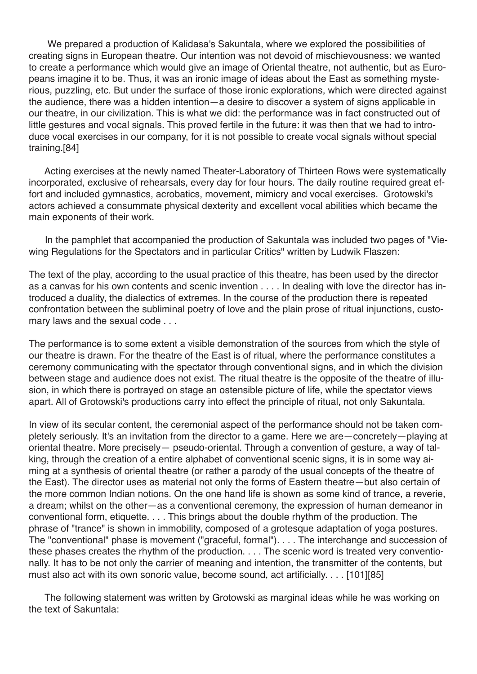We prepared a production of Kalidasa's Sakuntala, where we explored the possibilities of creating signs in European theatre. Our intention was not devoid of mischievousness: we wanted to create a performance which would give an image of Oriental theatre, not authentic, but as Europeans imagine it to be. Thus, it was an ironic image of ideas about the East as something mysterious, puzzling, etc. But under the surface of those ironic explorations, which were directed against the audience, there was a hidden intention—a desire to discover a system of signs applicable in our theatre, in our civilization. This is what we did: the performance was in fact constructed out of little gestures and vocal signals. This proved fertile in the future: it was then that we had to introduce vocal exercises in our company, for it is not possible to create vocal signals without special training.[84]

Acting exercises at the newly named Theater-Laboratory of Thirteen Rows were systematically incorporated, exclusive of rehearsals, every day for four hours. The daily routine required great effort and included gymnastics, acrobatics, movement, mimicry and vocal exercises. Grotowski's actors achieved a consummate physical dexterity and excellent vocal abilities which became the main exponents of their work.

In the pamphlet that accompanied the production of Sakuntala was included two pages of "Viewing Regulations for the Spectators and in particular Critics" written by Ludwik Flaszen:

The text of the play, according to the usual practice of this theatre, has been used by the director as a canvas for his own contents and scenic invention . . . . In dealing with love the director has introduced a duality, the dialectics of extremes. In the course of the production there is repeated confrontation between the subliminal poetry of love and the plain prose of ritual injunctions, customary laws and the sexual code . . .

The performance is to some extent a visible demonstration of the sources from which the style of our theatre is drawn. For the theatre of the East is of ritual, where the performance constitutes a ceremony communicating with the spectator through conventional signs, and in which the division between stage and audience does not exist. The ritual theatre is the opposite of the theatre of illusion, in which there is portrayed on stage an ostensible picture of life, while the spectator views apart. All of Grotowski's productions carry into effect the principle of ritual, not only Sakuntala.

In view of its secular content, the ceremonial aspect of the performance should not be taken completely seriously. It's an invitation from the director to a game. Here we are—concretely—playing at oriental theatre. More precisely— pseudo-oriental. Through a convention of gesture, a way of talking, through the creation of a entire alphabet of conventional scenic signs, it is in some way aiming at a synthesis of oriental theatre (or rather a parody of the usual concepts of the theatre of the East). The director uses as material not only the forms of Eastern theatre—but also certain of the more common Indian notions. On the one hand life is shown as some kind of trance, a reverie, a dream; whilst on the other—as a conventional ceremony, the expression of human demeanor in conventional form, etiquette. . . . This brings about the double rhythm of the production. The phrase of "trance" is shown in immobility, composed of a grotesque adaptation of yoga postures. The "conventional" phase is movement ("graceful, formal"). . . . The interchange and succession of these phases creates the rhythm of the production. . . . The scenic word is treated very conventionally. It has to be not only the carrier of meaning and intention, the transmitter of the contents, but must also act with its own sonoric value, become sound, act artificially. . . . [101][85]

The following statement was written by Grotowski as marginal ideas while he was working on the text of Sakuntala: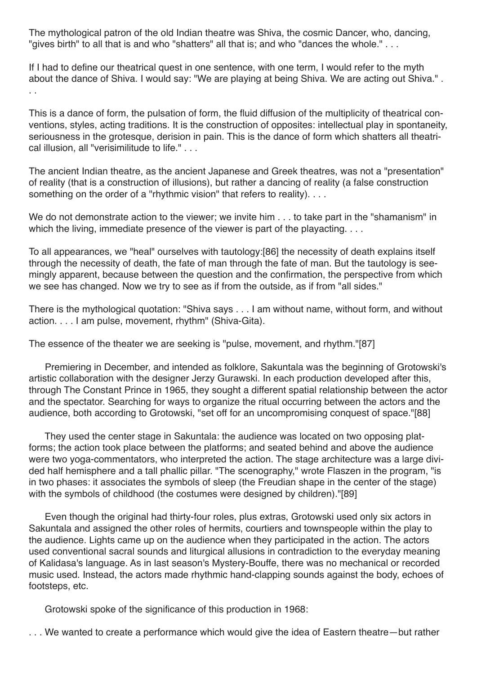The mythological patron of the old Indian theatre was Shiva, the cosmic Dancer, who, dancing, "gives birth" to all that is and who "shatters" all that is; and who "dances the whole." . . .

If I had to define our theatrical quest in one sentence, with one term, I would refer to the myth about the dance of Shiva. I would say: "We are playing at being Shiva. We are acting out Shiva." . . .

This is a dance of form, the pulsation of form, the fluid diffusion of the multiplicity of theatrical conventions, styles, acting traditions. It is the construction of opposites: intellectual play in spontaneity, seriousness in the grotesque, derision in pain. This is the dance of form which shatters all theatrical illusion, all "verisimilitude to life." . . .

The ancient Indian theatre, as the ancient Japanese and Greek theatres, was not a "presentation" of reality (that is a construction of illusions), but rather a dancing of reality (a false construction something on the order of a "rhythmic vision" that refers to reality). . . .

We do not demonstrate action to the viewer; we invite him . . . to take part in the "shamanism" in which the living, immediate presence of the viewer is part of the playacting. . . .

To all appearances, we "heal" ourselves with tautology:[86] the necessity of death explains itself through the necessity of death, the fate of man through the fate of man. But the tautology is seemingly apparent, because between the question and the confirmation, the perspective from which we see has changed. Now we try to see as if from the outside, as if from "all sides."

There is the mythological quotation: "Shiva says . . . I am without name, without form, and without action. . . . I am pulse, movement, rhythm" (Shiva-Gita).

The essence of the theater we are seeking is "pulse, movement, and rhythm."[87]

Premiering in December, and intended as folklore, Sakuntala was the beginning of Grotowski's artistic collaboration with the designer Jerzy Gurawski. In each production developed after this, through The Constant Prince in 1965, they sought a different spatial relationship between the actor and the spectator. Searching for ways to organize the ritual occurring between the actors and the audience, both according to Grotowski, "set off for an uncompromising conquest of space."[88]

They used the center stage in Sakuntala: the audience was located on two opposing platforms; the action took place between the platforms; and seated behind and above the audience were two yoga-commentators, who interpreted the action. The stage architecture was a large divided half hemisphere and a tall phallic pillar. "The scenography," wrote Flaszen in the program, "is in two phases: it associates the symbols of sleep (the Freudian shape in the center of the stage) with the symbols of childhood (the costumes were designed by children)."[89]

Even though the original had thirty-four roles, plus extras, Grotowski used only six actors in Sakuntala and assigned the other roles of hermits, courtiers and townspeople within the play to the audience. Lights came up on the audience when they participated in the action. The actors used conventional sacral sounds and liturgical allusions in contradiction to the everyday meaning of Kalidasa's language. As in last season's Mystery-Bouffe, there was no mechanical or recorded music used. Instead, the actors made rhythmic hand-clapping sounds against the body, echoes of footsteps, etc.

Grotowski spoke of the significance of this production in 1968:

. . . We wanted to create a performance which would give the idea of Eastern theatre—but rather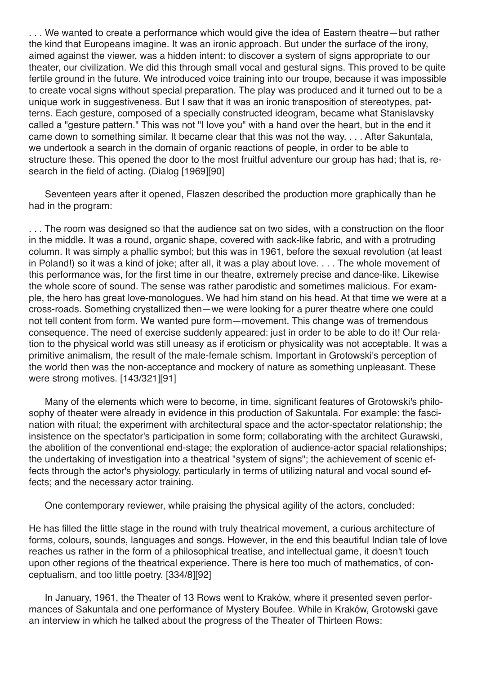. . . We wanted to create a performance which would give the idea of Eastern theatre—but rather the kind that Europeans imagine. It was an ironic approach. But under the surface of the irony, aimed against the viewer, was a hidden intent: to discover a system of signs appropriate to our theater, our civilization. We did this through small vocal and gestural signs. This proved to be quite fertile ground in the future. We introduced voice training into our troupe, because it was impossible to create vocal signs without special preparation. The play was produced and it turned out to be a unique work in suggestiveness. But I saw that it was an ironic transposition of stereotypes, patterns. Each gesture, composed of a specially constructed ideogram, became what Stanislavsky called a "gesture pattern." This was not "I love you" with a hand over the heart, but in the end it came down to something similar. It became clear that this was not the way. . . . After Sakuntala, we undertook a search in the domain of organic reactions of people, in order to be able to structure these. This opened the door to the most fruitful adventure our group has had; that is, research in the field of acting. (Dialog [1969][90]

Seventeen years after it opened, Flaszen described the production more graphically than he had in the program:

. . . The room was designed so that the audience sat on two sides, with a construction on the floor in the middle. It was a round, organic shape, covered with sack-like fabric, and with a protruding column. It was simply a phallic symbol; but this was in 1961, before the sexual revolution (at least in Poland!) so it was a kind of joke; after all, it was a play about love. . . . The whole movement of this performance was, for the first time in our theatre, extremely precise and dance-like. Likewise the whole score of sound. The sense was rather parodistic and sometimes malicious. For example, the hero has great love-monologues. We had him stand on his head. At that time we were at a cross-roads. Something crystallized then—we were looking for a purer theatre where one could not tell content from form. We wanted pure form—movement. This change was of tremendous consequence. The need of exercise suddenly appeared: just in order to be able to do it! Our relation to the physical world was still uneasy as if eroticism or physicality was not acceptable. It was a primitive animalism, the result of the male-female schism. Important in Grotowski's perception of the world then was the non-acceptance and mockery of nature as something unpleasant. These were strong motives. [143/321][91]

Many of the elements which were to become, in time, significant features of Grotowski's philosophy of theater were already in evidence in this production of Sakuntala. For example: the fascination with ritual; the experiment with architectural space and the actor-spectator relationship; the insistence on the spectator's participation in some form; collaborating with the architect Gurawski, the abolition of the conventional end-stage; the exploration of audience-actor spacial relationships; the undertaking of investigation into a theatrical "system of signs"; the achievement of scenic effects through the actor's physiology, particularly in terms of utilizing natural and vocal sound effects; and the necessary actor training.

One contemporary reviewer, while praising the physical agility of the actors, concluded:

He has filled the little stage in the round with truly theatrical movement, a curious architecture of forms, colours, sounds, languages and songs. However, in the end this beautiful Indian tale of love reaches us rather in the form of a philosophical treatise, and intellectual game, it doesn't touch upon other regions of the theatrical experience. There is here too much of mathematics, of conceptualism, and too little poetry. [334/8][92]

In January, 1961, the Theater of 13 Rows went to Kraków, where it presented seven performances of Sakuntala and one performance of Mystery Boufee. While in Kraków, Grotowski gave an interview in which he talked about the progress of the Theater of Thirteen Rows: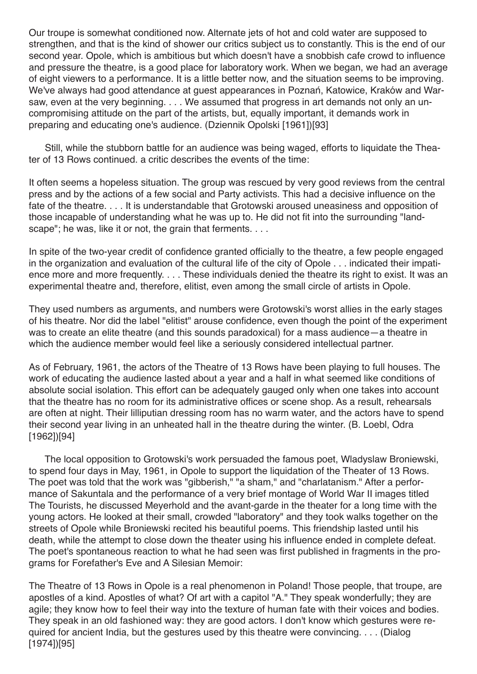Our troupe is somewhat conditioned now. Alternate jets of hot and cold water are supposed to strengthen, and that is the kind of shower our critics subject us to constantly. This is the end of our second year. Opole, which is ambitious but which doesn't have a snobbish cafe crowd to influence and pressure the theatre, is a good place for laboratory work. When we began, we had an average of eight viewers to a performance. It is a little better now, and the situation seems to be improving. We've always had good attendance at guest appearances in Poznań, Katowice, Kraków and Warsaw, even at the very beginning. . . . We assumed that progress in art demands not only an uncompromising attitude on the part of the artists, but, equally important, it demands work in preparing and educating one's audience. (Dziennik Opolski [1961])[93]

Still, while the stubborn battle for an audience was being waged, efforts to liquidate the Theater of 13 Rows continued. a critic describes the events of the time:

It often seems a hopeless situation. The group was rescued by very good reviews from the central press and by the actions of a few social and Party activists. This had a decisive influence on the fate of the theatre. . . . It is understandable that Grotowski aroused uneasiness and opposition of those incapable of understanding what he was up to. He did not fit into the surrounding "landscape"; he was, like it or not, the grain that ferments. . . .

In spite of the two-year credit of confidence granted officially to the theatre, a few people engaged in the organization and evaluation of the cultural life of the city of Opole . . . indicated their impatience more and more frequently. . . . These individuals denied the theatre its right to exist. It was an experimental theatre and, therefore, elitist, even among the small circle of artists in Opole.

They used numbers as arguments, and numbers were Grotowski's worst allies in the early stages of his theatre. Nor did the label "elitist" arouse confidence, even though the point of the experiment was to create an elite theatre (and this sounds paradoxical) for a mass audience—a theatre in which the audience member would feel like a seriously considered intellectual partner.

As of February, 1961, the actors of the Theatre of 13 Rows have been playing to full houses. The work of educating the audience lasted about a year and a half in what seemed like conditions of absolute social isolation. This effort can be adequately gauged only when one takes into account that the theatre has no room for its administrative offices or scene shop. As a result, rehearsals are often at night. Their lilliputian dressing room has no warm water, and the actors have to spend their second year living in an unheated hall in the theatre during the winter. (B. Loebl, Odra [1962])[94]

The local opposition to Grotowski's work persuaded the famous poet, Wladyslaw Broniewski, to spend four days in May, 1961, in Opole to support the liquidation of the Theater of 13 Rows. The poet was told that the work was "gibberish," "a sham," and "charlatanism." After a performance of Sakuntala and the performance of a very brief montage of World War II images titled The Tourists, he discussed Meyerhold and the avant-garde in the theater for a long time with the young actors. He looked at their small, crowded "laboratory" and they took walks together on the streets of Opole while Broniewski recited his beautiful poems. This friendship lasted until his death, while the attempt to close down the theater using his influence ended in complete defeat. The poet's spontaneous reaction to what he had seen was first published in fragments in the programs for Forefather's Eve and A Silesian Memoir:

The Theatre of 13 Rows in Opole is a real phenomenon in Poland! Those people, that troupe, are apostles of a kind. Apostles of what? Of art with a capitol "A." They speak wonderfully; they are agile; they know how to feel their way into the texture of human fate with their voices and bodies. They speak in an old fashioned way: they are good actors. I don't know which gestures were required for ancient India, but the gestures used by this theatre were convincing. . . . (Dialog [1974])[95]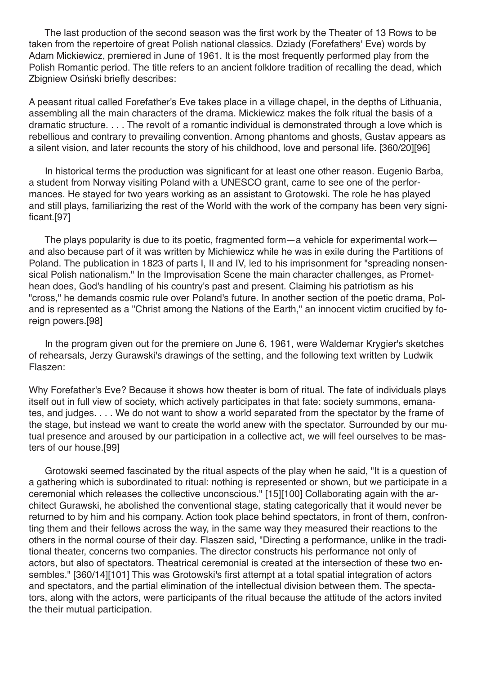The last production of the second season was the first work by the Theater of 13 Rows to be taken from the repertoire of great Polish national classics. Dziady (Forefathers' Eve) words by Adam Mickiewicz, premiered in June of 1961. It is the most frequently performed play from the Polish Romantic period. The title refers to an ancient folklore tradition of recalling the dead, which Zbigniew Osiński briefly describes:

A peasant ritual called Forefather's Eve takes place in a village chapel, in the depths of Lithuania, assembling all the main characters of the drama. Mickiewicz makes the folk ritual the basis of a dramatic structure. . . . The revolt of a romantic individual is demonstrated through a love which is rebellious and contrary to prevailing convention. Among phantoms and ghosts, Gustav appears as a silent vision, and later recounts the story of his childhood, love and personal life. [360/20][96]

In historical terms the production was significant for at least one other reason. Eugenio Barba, a student from Norway visiting Poland with a UNESCO grant, came to see one of the performances. He stayed for two years working as an assistant to Grotowski. The role he has played and still plays, familiarizing the rest of the World with the work of the company has been very significant.[97]

The plays popularity is due to its poetic, fragmented form—a vehicle for experimental work and also because part of it was written by Michiewicz while he was in exile during the Partitions of Poland. The publication in 1823 of parts I, II and IV, led to his imprisonment for "spreading nonsensical Polish nationalism." In the Improvisation Scene the main character challenges, as Promethean does, God's handling of his country's past and present. Claiming his patriotism as his "cross," he demands cosmic rule over Poland's future. In another section of the poetic drama, Poland is represented as a "Christ among the Nations of the Earth," an innocent victim crucified by foreign powers.[98]

In the program given out for the premiere on June 6, 1961, were Waldemar Krygier's sketches of rehearsals, Jerzy Gurawski's drawings of the setting, and the following text written by Ludwik Flaszen:

Why Forefather's Eve? Because it shows how theater is born of ritual. The fate of individuals plays itself out in full view of society, which actively participates in that fate: society summons, emanates, and judges. . . . We do not want to show a world separated from the spectator by the frame of the stage, but instead we want to create the world anew with the spectator. Surrounded by our mutual presence and aroused by our participation in a collective act, we will feel ourselves to be masters of our house.[99]

Grotowski seemed fascinated by the ritual aspects of the play when he said, "It is a question of a gathering which is subordinated to ritual: nothing is represented or shown, but we participate in a ceremonial which releases the collective unconscious." [15][100] Collaborating again with the architect Gurawski, he abolished the conventional stage, stating categorically that it would never be returned to by him and his company. Action took place behind spectators, in front of them, confronting them and their fellows across the way, in the same way they measured their reactions to the others in the normal course of their day. Flaszen said, "Directing a performance, unlike in the traditional theater, concerns two companies. The director constructs his performance not only of actors, but also of spectators. Theatrical ceremonial is created at the intersection of these two ensembles." [360/14][101] This was Grotowski's first attempt at a total spatial integration of actors and spectators, and the partial elimination of the intellectual division between them. The spectators, along with the actors, were participants of the ritual because the attitude of the actors invited the their mutual participation.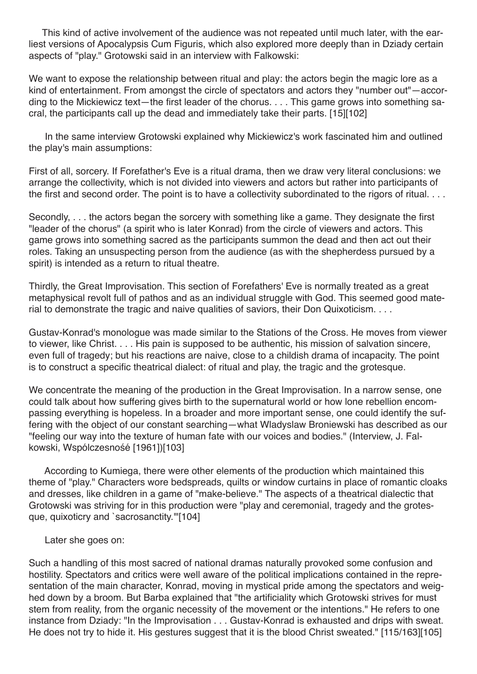This kind of active involvement of the audience was not repeated until much later, with the earliest versions of Apocalypsis Cum Figuris, which also explored more deeply than in Dziady certain aspects of "play." Grotowski said in an interview with Falkowski:

We want to expose the relationship between ritual and play: the actors begin the magic lore as a kind of entertainment. From amongst the circle of spectators and actors they "number out"—according to the Mickiewicz text—the first leader of the chorus. . . . This game grows into something sacral, the participants call up the dead and immediately take their parts. [15][102]

In the same interview Grotowski explained why Mickiewicz's work fascinated him and outlined the play's main assumptions:

First of all, sorcery. If Forefather's Eve is a ritual drama, then we draw very literal conclusions: we arrange the collectivity, which is not divided into viewers and actors but rather into participants of the first and second order. The point is to have a collectivity subordinated to the rigors of ritual. . . .

Secondly, . . . the actors began the sorcery with something like a game. They designate the first "leader of the chorus" (a spirit who is later Konrad) from the circle of viewers and actors. This game grows into something sacred as the participants summon the dead and then act out their roles. Taking an unsuspecting person from the audience (as with the shepherdess pursued by a spirit) is intended as a return to ritual theatre.

Thirdly, the Great Improvisation. This section of Forefathers' Eve is normally treated as a great metaphysical revolt full of pathos and as an individual struggle with God. This seemed good material to demonstrate the tragic and naive qualities of saviors, their Don Quixoticism. . . .

Gustav-Konrad's monologue was made similar to the Stations of the Cross. He moves from viewer to viewer, like Christ. . . . His pain is supposed to be authentic, his mission of salvation sincere, even full of tragedy; but his reactions are naive, close to a childish drama of incapacity. The point is to construct a specific theatrical dialect: of ritual and play, the tragic and the grotesque.

We concentrate the meaning of the production in the Great Improvisation. In a narrow sense, one could talk about how suffering gives birth to the supernatural world or how lone rebellion encompassing everything is hopeless. In a broader and more important sense, one could identify the suffering with the object of our constant searching—what Wladyslaw Broniewski has described as our "feeling our way into the texture of human fate with our voices and bodies." (Interview, J. Falkowski, Wspólczesnośé [1961])[103]

According to Kumiega, there were other elements of the production which maintained this theme of "play." Characters wore bedspreads, quilts or window curtains in place of romantic cloaks and dresses, like children in a game of "make-believe." The aspects of a theatrical dialectic that Grotowski was striving for in this production were "play and ceremonial, tragedy and the grotesque, quixoticry and `sacrosanctity.'"[104]

Later she goes on:

Such a handling of this most sacred of national dramas naturally provoked some confusion and hostility. Spectators and critics were well aware of the political implications contained in the representation of the main character, Konrad, moving in mystical pride among the spectators and weighed down by a broom. But Barba explained that "the artificiality which Grotowski strives for must stem from reality, from the organic necessity of the movement or the intentions." He refers to one instance from Dziady: "In the Improvisation . . . Gustav-Konrad is exhausted and drips with sweat. He does not try to hide it. His gestures suggest that it is the blood Christ sweated." [115/163][105]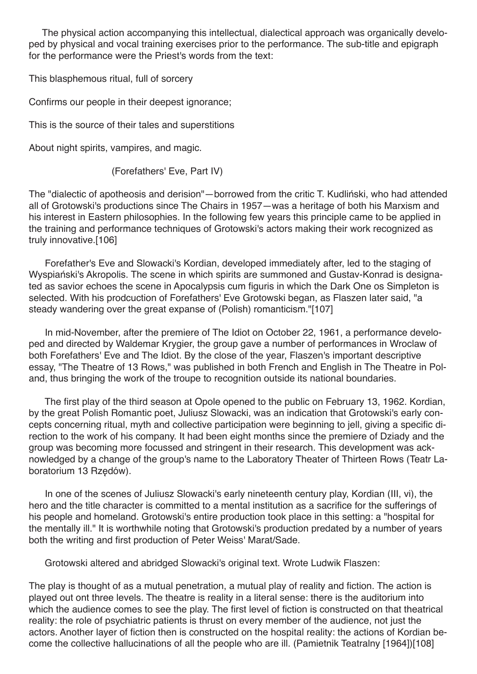The physical action accompanying this intellectual, dialectical approach was organically developed by physical and vocal training exercises prior to the performance. The sub-title and epigraph for the performance were the Priest's words from the text:

This blasphemous ritual, full of sorcery

Confirms our people in their deepest ignorance;

This is the source of their tales and superstitions

About night spirits, vampires, and magic.

(Forefathers' Eve, Part IV)

The "dialectic of apotheosis and derision"—borrowed from the critic T. Kudliński, who had attended all of Grotowski's productions since The Chairs in 1957—was a heritage of both his Marxism and his interest in Eastern philosophies. In the following few years this principle came to be applied in the training and performance techniques of Grotowski's actors making their work recognized as truly innovative.[106]

Forefather's Eve and Slowacki's Kordian, developed immediately after, led to the staging of Wyspiański's Akropolis. The scene in which spirits are summoned and Gustav-Konrad is designated as savior echoes the scene in Apocalypsis cum figuris in which the Dark One os Simpleton is selected. With his prodcuction of Forefathers' Eve Grotowski began, as Flaszen later said, "a steady wandering over the great expanse of (Polish) romanticism."[107]

In mid-November, after the premiere of The Idiot on October 22, 1961, a performance developed and directed by Waldemar Krygier, the group gave a number of performances in Wroclaw of both Forefathers' Eve and The Idiot. By the close of the year, Flaszen's important descriptive essay, "The Theatre of 13 Rows," was published in both French and English in The Theatre in Poland, thus bringing the work of the troupe to recognition outside its national boundaries.

The first play of the third season at Opole opened to the public on February 13, 1962. Kordian, by the great Polish Romantic poet, Juliusz Slowacki, was an indication that Grotowski's early concepts concerning ritual, myth and collective participation were beginning to jell, giving a specific direction to the work of his company. It had been eight months since the premiere of Dziady and the group was becoming more focussed and stringent in their research. This development was acknowledged by a change of the group's name to the Laboratory Theater of Thirteen Rows (Teatr Laboratorium 13 Rzędów).

In one of the scenes of Juliusz Slowacki's early nineteenth century play, Kordian (III, vi), the hero and the title character is committed to a mental institution as a sacrifice for the sufferings of his people and homeland. Grotowski's entire production took place in this setting: a "hospital for the mentally ill." It is worthwhile noting that Grotowski's production predated by a number of years both the writing and first production of Peter Weiss' Marat/Sade.

Grotowski altered and abridged Slowacki's original text. Wrote Ludwik Flaszen:

The play is thought of as a mutual penetration, a mutual play of reality and fiction. The action is played out ont three levels. The theatre is reality in a literal sense: there is the auditorium into which the audience comes to see the play. The first level of fiction is constructed on that theatrical reality: the role of psychiatric patients is thrust on every member of the audience, not just the actors. Another layer of fiction then is constructed on the hospital reality: the actions of Kordian become the collective hallucinations of all the people who are ill. (Pamietnik Teatralny [1964])[108]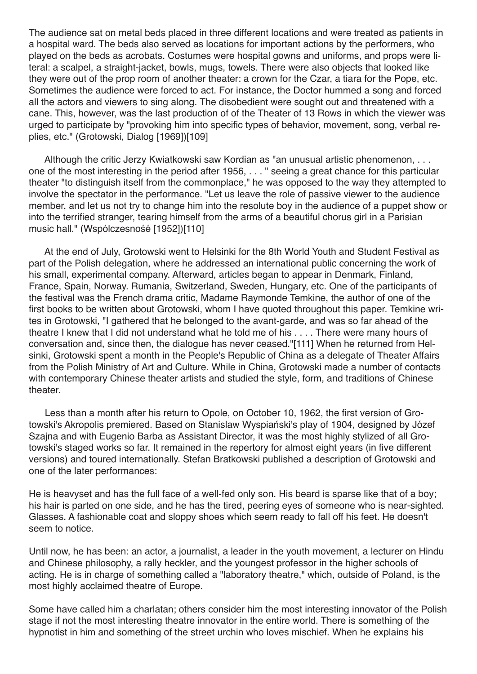The audience sat on metal beds placed in three different locations and were treated as patients in a hospital ward. The beds also served as locations for important actions by the performers, who played on the beds as acrobats. Costumes were hospital gowns and uniforms, and props were literal: a scalpel, a straight-jacket, bowls, mugs, towels. There were also objects that looked like they were out of the prop room of another theater: a crown for the Czar, a tiara for the Pope, etc. Sometimes the audience were forced to act. For instance, the Doctor hummed a song and forced all the actors and viewers to sing along. The disobedient were sought out and threatened with a cane. This, however, was the last production of of the Theater of 13 Rows in which the viewer was urged to participate by "provoking him into specific types of behavior, movement, song, verbal replies, etc." (Grotowski, Dialog [1969])[109]

Although the critic Jerzy Kwiatkowski saw Kordian as "an unusual artistic phenomenon, . . . one of the most interesting in the period after 1956, . . . " seeing a great chance for this particular theater "to distinguish itself from the commonplace," he was opposed to the way they attempted to involve the spectator in the performance. "Let us leave the role of passive viewer to the audience member, and let us not try to change him into the resolute boy in the audience of a puppet show or into the terrified stranger, tearing himself from the arms of a beautiful chorus girl in a Parisian music hall." (Wspólczesnośé [1952])[110]

At the end of July, Grotowski went to Helsinki for the 8th World Youth and Student Festival as part of the Polish delegation, where he addressed an international public concerning the work of his small, experimental company. Afterward, articles began to appear in Denmark, Finland, France, Spain, Norway. Rumania, Switzerland, Sweden, Hungary, etc. One of the participants of the festival was the French drama critic, Madame Raymonde Temkine, the author of one of the first books to be written about Grotowski, whom I have quoted throughout this paper. Temkine writes in Grotowski, "I gathered that he belonged to the avant-garde, and was so far ahead of the theatre I knew that I did not understand what he told me of his . . . . There were many hours of conversation and, since then, the dialogue has never ceased."[111] When he returned from Helsinki, Grotowski spent a month in the People's Republic of China as a delegate of Theater Affairs from the Polish Ministry of Art and Culture. While in China, Grotowski made a number of contacts with contemporary Chinese theater artists and studied the style, form, and traditions of Chinese theater.

Less than a month after his return to Opole, on October 10, 1962, the first version of Grotowski's Akropolis premiered. Based on Stanislaw Wyspiański's play of 1904, designed by Józef Szajna and with Eugenio Barba as Assistant Director, it was the most highly stylized of all Grotowski's staged works so far. It remained in the repertory for almost eight years (in five different versions) and toured internationally. Stefan Bratkowski published a description of Grotowski and one of the later performances:

He is heavyset and has the full face of a well-fed only son. His beard is sparse like that of a boy; his hair is parted on one side, and he has the tired, peering eyes of someone who is near-sighted. Glasses. A fashionable coat and sloppy shoes which seem ready to fall off his feet. He doesn't seem to notice.

Until now, he has been: an actor, a journalist, a leader in the youth movement, a lecturer on Hindu and Chinese philosophy, a rally heckler, and the youngest professor in the higher schools of acting. He is in charge of something called a "laboratory theatre," which, outside of Poland, is the most highly acclaimed theatre of Europe.

Some have called him a charlatan; others consider him the most interesting innovator of the Polish stage if not the most interesting theatre innovator in the entire world. There is something of the hypnotist in him and something of the street urchin who loves mischief. When he explains his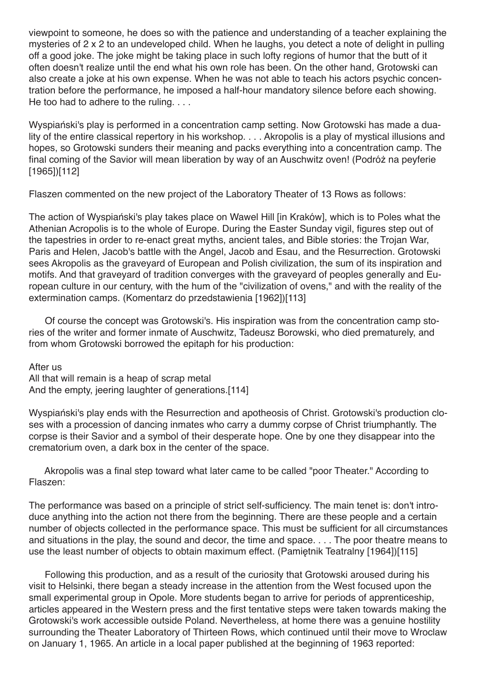viewpoint to someone, he does so with the patience and understanding of a teacher explaining the mysteries of 2 x 2 to an undeveloped child. When he laughs, you detect a note of delight in pulling off a good joke. The joke might be taking place in such lofty regions of humor that the butt of it often doesn't realize until the end what his own role has been. On the other hand, Grotowski can also create a joke at his own expense. When he was not able to teach his actors psychic concentration before the performance, he imposed a half-hour mandatory silence before each showing. He too had to adhere to the ruling. . . .

Wyspiański's play is performed in a concentration camp setting. Now Grotowski has made a duality of the entire classical repertory in his workshop. . . . Akropolis is a play of mystical illusions and hopes, so Grotowski sunders their meaning and packs everything into a concentration camp. The final coming of the Savior will mean liberation by way of an Auschwitz oven! (Podróż na peyferie [1965])[112]

Flaszen commented on the new project of the Laboratory Theater of 13 Rows as follows:

The action of Wyspiański's play takes place on Wawel Hill [in Kraków], which is to Poles what the Athenian Acropolis is to the whole of Europe. During the Easter Sunday vigil, figures step out of the tapestries in order to re-enact great myths, ancient tales, and Bible stories: the Trojan War, Paris and Helen, Jacob's battle with the Angel, Jacob and Esau, and the Resurrection. Grotowski sees Akropolis as the graveyard of European and Polish civilization, the sum of its inspiration and motifs. And that graveyard of tradition converges with the graveyard of peoples generally and European culture in our century, with the hum of the "civilization of ovens," and with the reality of the extermination camps. (Komentarz do przedstawienia [1962])[113]

Of course the concept was Grotowski's. His inspiration was from the concentration camp stories of the writer and former inmate of Auschwitz, Tadeusz Borowski, who died prematurely, and from whom Grotowski borrowed the epitaph for his production:

After us

All that will remain is a heap of scrap metal And the empty, jeering laughter of generations.[114]

Wyspiański's play ends with the Resurrection and apotheosis of Christ. Grotowski's production closes with a procession of dancing inmates who carry a dummy corpse of Christ triumphantly. The corpse is their Savior and a symbol of their desperate hope. One by one they disappear into the crematorium oven, a dark box in the center of the space.

Akropolis was a final step toward what later came to be called "poor Theater." According to Flaszen:

The performance was based on a principle of strict self-sufficiency. The main tenet is: don't introduce anything into the action not there from the beginning. There are these people and a certain number of objects collected in the performance space. This must be sufficient for all circumstances and situations in the play, the sound and decor, the time and space. . . . The poor theatre means to use the least number of objects to obtain maximum effect. (Pamiętnik Teatralny [1964])[115]

Following this production, and as a result of the curiosity that Grotowski aroused during his visit to Helsinki, there began a steady increase in the attention from the West focused upon the small experimental group in Opole. More students began to arrive for periods of apprenticeship, articles appeared in the Western press and the first tentative steps were taken towards making the Grotowski's work accessible outside Poland. Nevertheless, at home there was a genuine hostility surrounding the Theater Laboratory of Thirteen Rows, which continued until their move to Wroclaw on January 1, 1965. An article in a local paper published at the beginning of 1963 reported: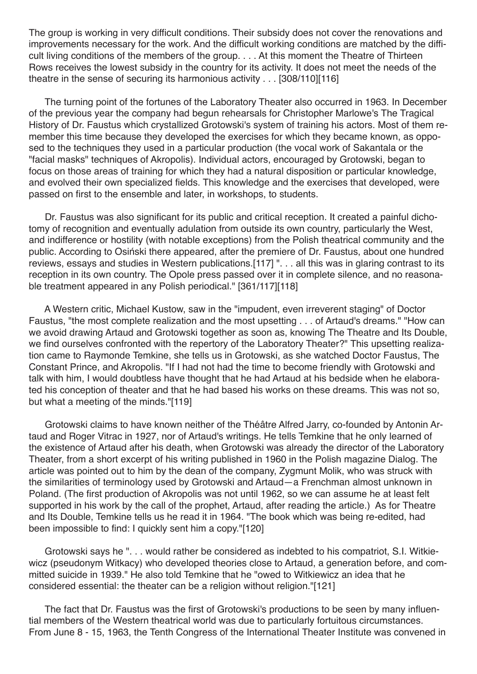The group is working in very difficult conditions. Their subsidy does not cover the renovations and improvements necessary for the work. And the difficult working conditions are matched by the difficult living conditions of the members of the group. . . . At this moment the Theatre of Thirteen Rows receives the lowest subsidy in the country for its activity. It does not meet the needs of the theatre in the sense of securing its harmonious activity . . . [308/110][116]

The turning point of the fortunes of the Laboratory Theater also occurred in 1963. In December of the previous year the company had begun rehearsals for Christopher Marlowe's The Tragical History of Dr. Faustus which crystallized Grotowski's system of training his actors. Most of them remember this time because they developed the exercises for which they became known, as opposed to the techniques they used in a particular production (the vocal work of Sakantala or the "facial masks" techniques of Akropolis). Individual actors, encouraged by Grotowski, began to focus on those areas of training for which they had a natural disposition or particular knowledge, and evolved their own specialized fields. This knowledge and the exercises that developed, were passed on first to the ensemble and later, in workshops, to students.

Dr. Faustus was also significant for its public and critical reception. It created a painful dichotomy of recognition and eventually adulation from outside its own country, particularly the West, and indifference or hostility (with notable exceptions) from the Polish theatrical community and the public. According to Osiński there appeared, after the premiere of Dr. Faustus, about one hundred reviews, essays and studies in Western publications.[117] ". . . all this was in glaring contrast to its reception in its own country. The Opole press passed over it in complete silence, and no reasonable treatment appeared in any Polish periodical." [361/117][118]

A Western critic, Michael Kustow, saw in the "impudent, even irreverent staging" of Doctor Faustus, "the most complete realization and the most upsetting . . . of Artaud's dreams." "How can we avoid drawing Artaud and Grotowski together as soon as, knowing The Theatre and Its Double, we find ourselves confronted with the repertory of the Laboratory Theater?" This upsetting realization came to Raymonde Temkine, she tells us in Grotowski, as she watched Doctor Faustus, The Constant Prince, and Akropolis. "If I had not had the time to become friendly with Grotowski and talk with him, I would doubtless have thought that he had Artaud at his bedside when he elaborated his conception of theater and that he had based his works on these dreams. This was not so, but what a meeting of the minds."[119]

Grotowski claims to have known neither of the Théâtre Alfred Jarry, co-founded by Antonin Artaud and Roger Vitrac in 1927, nor of Artaud's writings. He tells Temkine that he only learned of the existence of Artaud after his death, when Grotowski was already the director of the Laboratory Theater, from a short excerpt of his writing published in 1960 in the Polish magazine Dialog. The article was pointed out to him by the dean of the company, Zygmunt Molik, who was struck with the similarities of terminology used by Grotowski and Artaud—a Frenchman almost unknown in Poland. (The first production of Akropolis was not until 1962, so we can assume he at least felt supported in his work by the call of the prophet, Artaud, after reading the article.) As for Theatre and Its Double, Temkine tells us he read it in 1964. "The book which was being re-edited, had been impossible to find: I quickly sent him a copy."[120]

Grotowski says he ". . . would rather be considered as indebted to his compatriot, S.I. Witkiewicz (pseudonym Witkacy) who developed theories close to Artaud, a generation before, and committed suicide in 1939." He also told Temkine that he "owed to Witkiewicz an idea that he considered essential: the theater can be a religion without religion."[121]

The fact that Dr. Faustus was the first of Grotowski's productions to be seen by many influential members of the Western theatrical world was due to particularly fortuitous circumstances. From June 8 - 15, 1963, the Tenth Congress of the International Theater Institute was convened in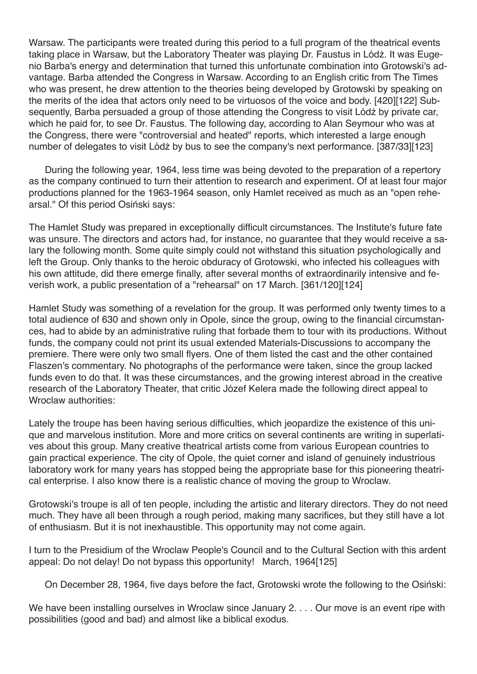Warsaw. The participants were treated during this period to a full program of the theatrical events taking place in Warsaw, but the Laboratory Theater was playing Dr. Faustus in Lódż. It was Eugenio Barba's energy and determination that turned this unfortunate combination into Grotowski's advantage. Barba attended the Congress in Warsaw. According to an English critic from The Times who was present, he drew attention to the theories being developed by Grotowski by speaking on the merits of the idea that actors only need to be virtuosos of the voice and body. [420][122] Subsequently, Barba persuaded a group of those attending the Congress to visit Lódż by private car, which he paid for, to see Dr. Faustus. The following day, according to Alan Seymour who was at the Congress, there were "controversial and heated" reports, which interested a large enough number of delegates to visit Lódż by bus to see the company's next performance. [387/33][123]

During the following year, 1964, less time was being devoted to the preparation of a repertory as the company continued to turn their attention to research and experiment. Of at least four major productions planned for the 1963-1964 season, only Hamlet received as much as an "open rehearsal." Of this period Osiński says:

The Hamlet Study was prepared in exceptionally difficult circumstances. The Institute's future fate was unsure. The directors and actors had, for instance, no guarantee that they would receive a salary the following month. Some quite simply could not withstand this situation psychologically and left the Group. Only thanks to the heroic obduracy of Grotowski, who infected his colleagues with his own attitude, did there emerge finally, after several months of extraordinarily intensive and feverish work, a public presentation of a "rehearsal" on 17 March. [361/120][124]

Hamlet Study was something of a revelation for the group. It was performed only twenty times to a total audience of 630 and shown only in Opole, since the group, owing to the financial circumstances, had to abide by an administrative ruling that forbade them to tour with its productions. Without funds, the company could not print its usual extended Materials-Discussions to accompany the premiere. There were only two small flyers. One of them listed the cast and the other contained Flaszen's commentary. No photographs of the performance were taken, since the group lacked funds even to do that. It was these circumstances, and the growing interest abroad in the creative research of the Laboratory Theater, that critic Józef Kelera made the following direct appeal to Wroclaw authorities:

Lately the troupe has been having serious difficulties, which jeopardize the existence of this unique and marvelous institution. More and more critics on several continents are writing in superlatives about this group. Many creative theatrical artists come from various European countries to gain practical experience. The city of Opole, the quiet corner and island of genuinely industrious laboratory work for many years has stopped being the appropriate base for this pioneering theatrical enterprise. I also know there is a realistic chance of moving the group to Wroclaw.

Grotowski's troupe is all of ten people, including the artistic and literary directors. They do not need much. They have all been through a rough period, making many sacrifices, but they still have a lot of enthusiasm. But it is not inexhaustible. This opportunity may not come again.

I turn to the Presidium of the Wroclaw People's Council and to the Cultural Section with this ardent appeal: Do not delay! Do not bypass this opportunity! March, 1964[125]

On December 28, 1964, five days before the fact, Grotowski wrote the following to the Osiński:

We have been installing ourselves in Wroclaw since January 2. . . . Our move is an event ripe with possibilities (good and bad) and almost like a biblical exodus.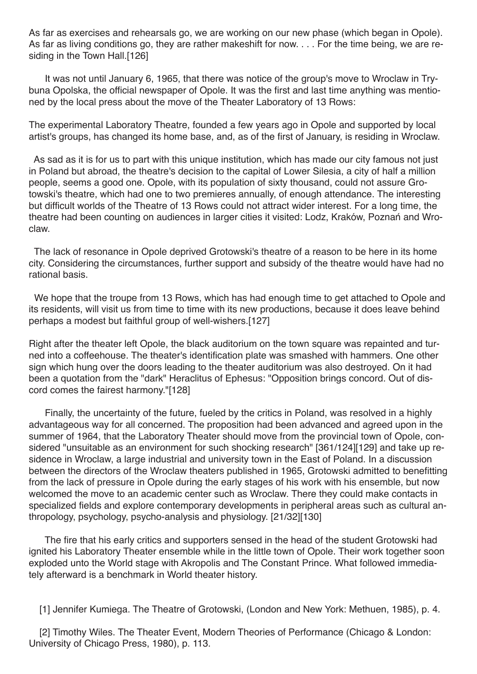As far as exercises and rehearsals go, we are working on our new phase (which began in Opole). As far as living conditions go, they are rather makeshift for now. . . . For the time being, we are residing in the Town Hall.<sup>[126]</sup>

It was not until January 6, 1965, that there was notice of the group's move to Wroclaw in Trybuna Opolska, the official newspaper of Opole. It was the first and last time anything was mentioned by the local press about the move of the Theater Laboratory of 13 Rows:

The experimental Laboratory Theatre, founded a few years ago in Opole and supported by local artist's groups, has changed its home base, and, as of the first of January, is residing in Wroclaw.

As sad as it is for us to part with this unique institution, which has made our city famous not just in Poland but abroad, the theatre's decision to the capital of Lower Silesia, a city of half a million people, seems a good one. Opole, with its population of sixty thousand, could not assure Grotowski's theatre, which had one to two premieres annually, of enough attendance. The interesting but difficult worlds of the Theatre of 13 Rows could not attract wider interest. For a long time, the theatre had been counting on audiences in larger cities it visited: Lodz, Kraków, Poznań and Wroclaw.

The lack of resonance in Opole deprived Grotowski's theatre of a reason to be here in its home city. Considering the circumstances, further support and subsidy of the theatre would have had no rational basis.

We hope that the troupe from 13 Rows, which has had enough time to get attached to Opole and its residents, will visit us from time to time with its new productions, because it does leave behind perhaps a modest but faithful group of well-wishers.[127]

Right after the theater left Opole, the black auditorium on the town square was repainted and turned into a coffeehouse. The theater's identification plate was smashed with hammers. One other sign which hung over the doors leading to the theater auditorium was also destroyed. On it had been a quotation from the "dark" Heraclitus of Ephesus: "Opposition brings concord. Out of discord comes the fairest harmony."[128]

Finally, the uncertainty of the future, fueled by the critics in Poland, was resolved in a highly advantageous way for all concerned. The proposition had been advanced and agreed upon in the summer of 1964, that the Laboratory Theater should move from the provincial town of Opole, considered "unsuitable as an environment for such shocking research" [361/124][129] and take up residence in Wroclaw, a large industrial and university town in the East of Poland. In a discussion between the directors of the Wroclaw theaters published in 1965, Grotowski admitted to benefitting from the lack of pressure in Opole during the early stages of his work with his ensemble, but now welcomed the move to an academic center such as Wroclaw. There they could make contacts in specialized fields and explore contemporary developments in peripheral areas such as cultural anthropology, psychology, psycho-analysis and physiology. [21/32][130]

The fire that his early critics and supporters sensed in the head of the student Grotowski had ignited his Laboratory Theater ensemble while in the little town of Opole. Their work together soon exploded unto the World stage with Akropolis and The Constant Prince. What followed immediately afterward is a benchmark in World theater history.

[1] Jennifer Kumiega. The Theatre of Grotowski, (London and New York: Methuen, 1985), p. 4.

[2] Timothy Wiles. The Theater Event, Modern Theories of Performance (Chicago & London: University of Chicago Press, 1980), p. 113.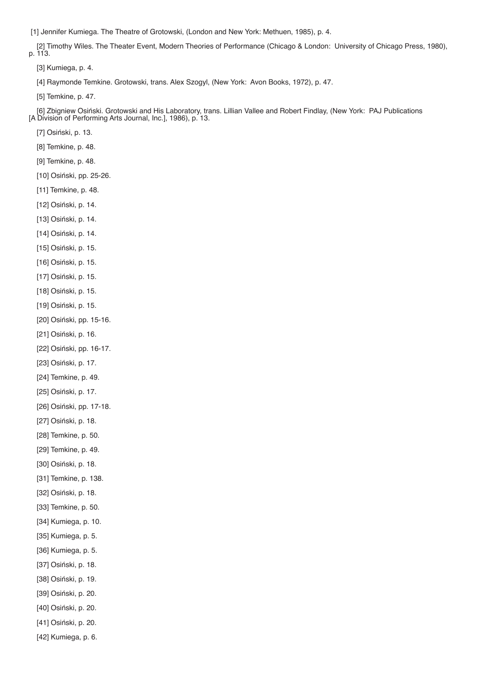[1] Jennifer Kumiega. The Theatre of Grotowski, (London and New York: Methuen, 1985), p. 4.

[2] Timothy Wiles. The Theater Event, Modern Theories of Performance (Chicago & London: University of Chicago Press, 1980), p. 113.

[3] Kumiega, p. 4.

[4] Raymonde Temkine. Grotowski, trans. Alex Szogyl, (New York: Avon Books, 1972), p. 47.

[5] Temkine, p. 47.

[6] Zbigniew Osiński. Grotowski and His Laboratory, trans. Lillian Vallee and Robert Findlay, (New York: PAJ Publications [A Division of Performing Arts Journal, Inc.], 1986), p. 13.

[7] Osiński, p. 13.

[8] Temkine, p. 48.

[9] Temkine, p. 48.

[10] Osiński, pp. 25-26.

[11] Temkine, p. 48.

[12] Osiński, p. 14.

[13] Osiński, p. 14.

[14] Osiński, p. 14.

[15] Osiński, p. 15.

[16] Osiński, p. 15.

[17] Osiński, p. 15.

[18] Osiński, p. 15.

[19] Osiński, p. 15.

[20] Osiński, pp. 15-16.

[21] Osiński, p. 16.

[22] Osiński, pp. 16-17.

[23] Osiński, p. 17.

[24] Temkine, p. 49.

[25] Osiński, p. 17.

[26] Osiński, pp. 17-18.

[27] Osiński, p. 18.

[28] Temkine, p. 50.

[29] Temkine, p. 49.

[30] Osiński, p. 18.

[31] Temkine, p. 138.

[32] Osiński, p. 18.

[33] Temkine, p. 50.

[34] Kumiega, p. 10.

[35] Kumiega, p. 5.

[36] Kumiega, p. 5.

[37] Osiński, p. 18.

[38] Osiński, p. 19.

[39] Osiński, p. 20.

[40] Osiński, p. 20.

[41] Osiński, p. 20.

[42] Kumiega, p. 6.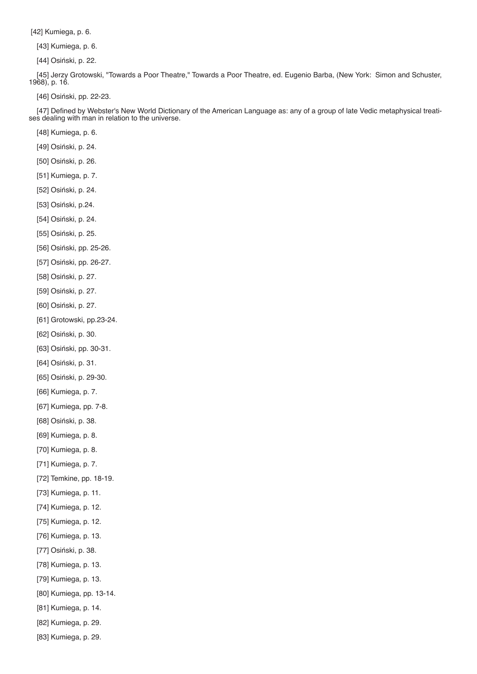[42] Kumiega, p. 6.

[43] Kumiega, p. 6.

[44] Osiński, p. 22.

[45] Jerzy Grotowski, "Towards a Poor Theatre," Towards a Poor Theatre, ed. Eugenio Barba, (New York: Simon and Schuster, 1968), p. 16.

[46] Osiński, pp. 22-23.

[47] Defined by Webster's New World Dictionary of the American Language as: any of a group of late Vedic metaphysical treatises dealing with man in relation to the universe.

[48] Kumiega, p. 6.

[49] Osiński, p. 24.

[50] Osiński, p. 26.

- [51] Kumiega, p. 7.
- [52] Osiński, p. 24.
- [53] Osiński, p.24.
- [54] Osiński, p. 24.
- [55] Osiński, p. 25.
- [56] Osiński, pp. 25-26.
- [57] Osiński, pp. 26-27.
- [58] Osiński, p. 27.
- [59] Osiński, p. 27.
- [60] Osiński, p. 27.
- [61] Grotowski, pp.23-24.
- [62] Osiński, p. 30.
- [63] Osiński, pp. 30-31.
- [64] Osiński, p. 31.
- [65] Osiński, p. 29-30.
- [66] Kumiega, p. 7.
- [67] Kumiega, pp. 7-8.
- [68] Osiński, p. 38.
- [69] Kumiega, p. 8.
- [70] Kumiega, p. 8.
- [71] Kumiega, p. 7.
- [72] Temkine, pp. 18-19.
- [73] Kumiega, p. 11.
- [74] Kumiega, p. 12.
- [75] Kumiega, p. 12.
- [76] Kumiega, p. 13.
- [77] Osiński, p. 38.
- [78] Kumiega, p. 13.
- [79] Kumiega, p. 13.
- [80] Kumiega, pp. 13-14.
- [81] Kumiega, p. 14.
- [82] Kumiega, p. 29.
- [83] Kumiega, p. 29.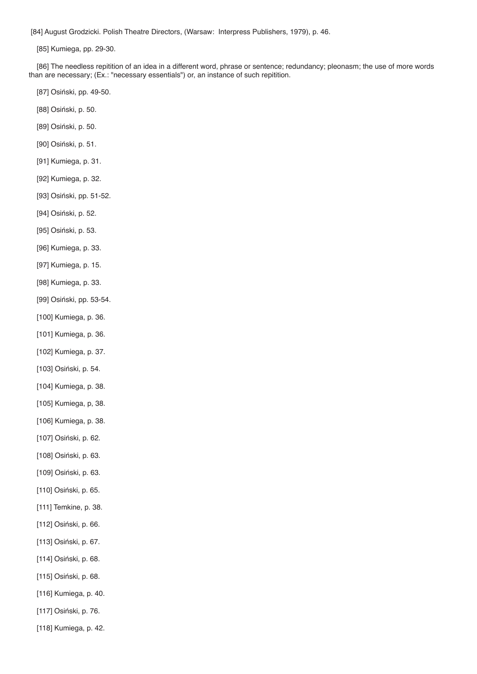[84] August Grodzicki. Polish Theatre Directors, (Warsaw: Interpress Publishers, 1979), p. 46.

[85] Kumiega, pp. 29-30.

[86] The needless repitition of an idea in a different word, phrase or sentence; redundancy; pleonasm; the use of more words than are necessary; (Ex.: "necessary essentials") or, an instance of such repitition.

- [87] Osiński, pp. 49-50.
- [88] Osiński, p. 50.
- [89] Osiński, p. 50.
- [90] Osiński, p. 51.
- [91] Kumiega, p. 31.
- [92] Kumiega, p. 32.
- [93] Osiński, pp. 51-52.
- [94] Osiński, p. 52.
- [95] Osiński, p. 53.
- [96] Kumiega, p. 33.
- [97] Kumiega, p. 15.
- [98] Kumiega, p. 33.
- [99] Osiński, pp. 53-54.
- [100] Kumiega, p. 36.
- [101] Kumiega, p. 36.
- [102] Kumiega, p. 37.
- [103] Osiński, p. 54.
- [104] Kumiega, p. 38.
- [105] Kumiega, p, 38.
- [106] Kumiega, p. 38.
- [107] Osiński, p. 62.
- [108] Osiński, p. 63.
- [109] Osiński, p. 63.
- [110] Osiński, p. 65.
- [111] Temkine, p. 38.
- [112] Osiński, p. 66.
- [113] Osiński, p. 67.
- [114] Osiński, p. 68.
- [115] Osiński, p. 68.
- [116] Kumiega, p. 40.
- [117] Osiński, p. 76.
- [118] Kumiega, p. 42.